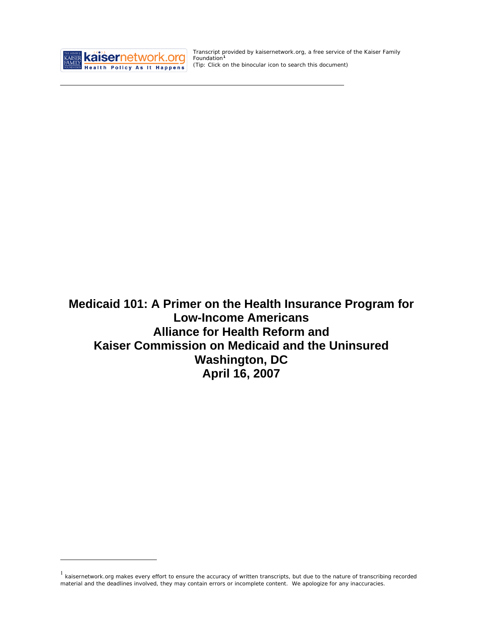

<u>.</u>

Transcript provided by kaisernetwork.org, a free service of the Kaiser Family Foundation**[1](#page-0-0)** *(Tip: Click on the binocular icon to search this document)* 

**Medicaid 101: A Primer on the Health Insurance Program for Low-Income Americans Alliance for Health Reform and Kaiser Commission on Medicaid and the Uninsured Washington, DC April 16, 2007** 

<span id="page-0-0"></span> $1$  kaisernetwork.org makes every effort to ensure the accuracy of written transcripts, but due to the nature of transcribing recorded material and the deadlines involved, they may contain errors or incomplete content. We apologize for any inaccuracies.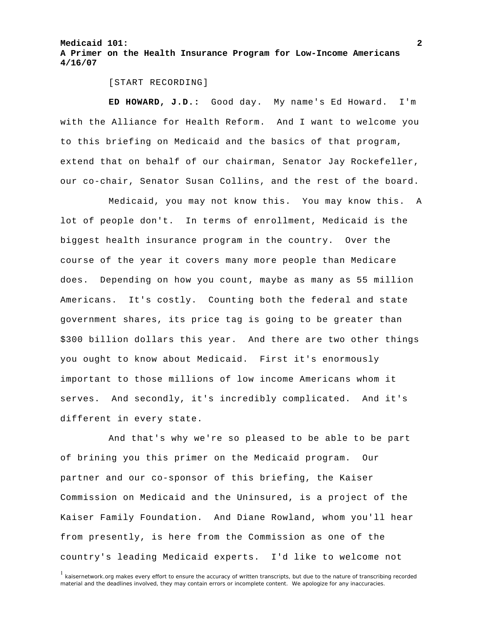[START RECORDING]

**ED HOWARD, J.D.:** Good day. My name's Ed Howard. I'm with the Alliance for Health Reform. And I want to welcome you to this briefing on Medicaid and the basics of that program, extend that on behalf of our chairman, Senator Jay Rockefeller, our co-chair, Senator Susan Collins, and the rest of the board.

 Medicaid, you may not know this. You may know this. A lot of people don't. In terms of enrollment, Medicaid is the biggest health insurance program in the country. Over the course of the year it covers many more people than Medicare does. Depending on how you count, maybe as many as 55 million Americans. It's costly. Counting both the federal and state government shares, its price tag is going to be greater than \$300 billion dollars this year. And there are two other things you ought to know about Medicaid. First it's enormously important to those millions of low income Americans whom it serves. And secondly, it's incredibly complicated. And it's different in every state.

 And that's why we're so pleased to be able to be part of brining you this primer on the Medicaid program. Our partner and our co-sponsor of this briefing, the Kaiser Commission on Medicaid and the Uninsured, is a project of the Kaiser Family Foundation. And Diane Rowland, whom you'll hear from presently, is here from the Commission as one of the country's leading Medicaid experts. I'd like to welcome not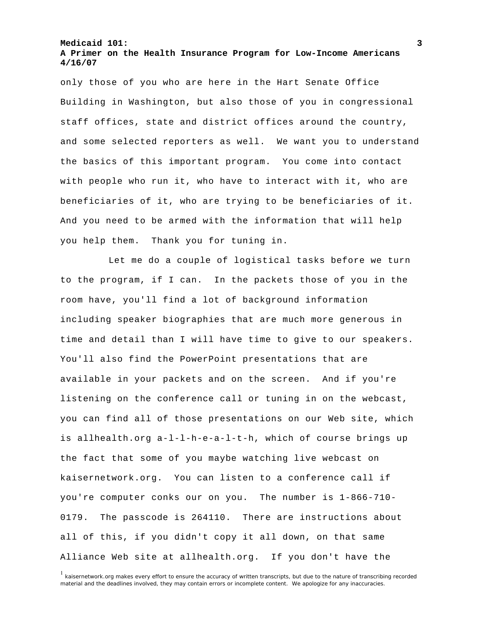only those of you who are here in the Hart Senate Office Building in Washington, but also those of you in congressional staff offices, state and district offices around the country, and some selected reporters as well. We want you to understand the basics of this important program. You come into contact with people who run it, who have to interact with it, who are beneficiaries of it, who are trying to be beneficiaries of it. And you need to be armed with the information that will help you help them. Thank you for tuning in.

 Let me do a couple of logistical tasks before we turn to the program, if I can. In the packets those of you in the room have, you'll find a lot of background information including speaker biographies that are much more generous in time and detail than I will have time to give to our speakers. You'll also find the PowerPoint presentations that are available in your packets and on the screen. And if you're listening on the conference call or tuning in on the webcast, you can find all of those presentations on our Web site, which is allhealth.org a-l-l-h-e-a-l-t-h, which of course brings up the fact that some of you maybe watching live webcast on kaisernetwork.org. You can listen to a conference call if you're computer conks our on you. The number is 1-866-710- 0179. The passcode is 264110. There are instructions about all of this, if you didn't copy it all down, on that same Alliance Web site at allhealth.org. If you don't have the

<sup>1</sup> kaisernetwork.org makes every effort to ensure the accuracy of written transcripts, but due to the nature of transcribing recorded material and the deadlines involved, they may contain errors or incomplete content. We apologize for any inaccuracies.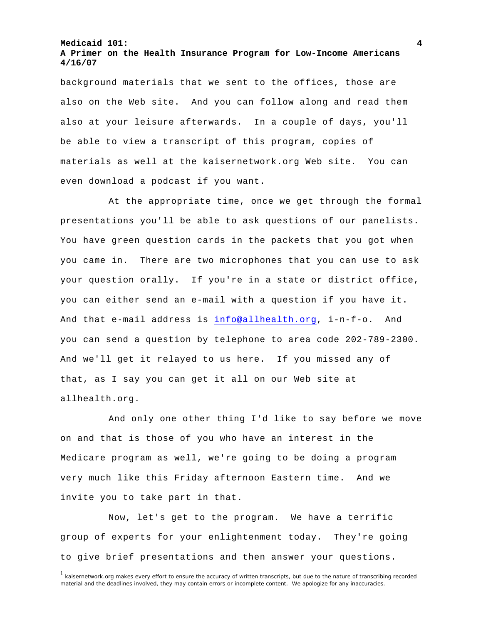background materials that we sent to the offices, those are also on the Web site. And you can follow along and read them also at your leisure afterwards. In a couple of days, you'll be able to view a transcript of this program, copies of materials as well at the kaisernetwork.org Web site. You can even download a podcast if you want.

 At the appropriate time, once we get through the formal presentations you'll be able to ask questions of our panelists. You have green question cards in the packets that you got when you came in. There are two microphones that you can use to ask your question orally. If you're in a state or district office, you can either send an e-mail with a question if you have it. And that e-mail address is [info@allhealth.org,](mailto:info@allhealth.org) i-n-f-o. And you can send a question by telephone to area code 202-789-2300. And we'll get it relayed to us here. If you missed any of that, as I say you can get it all on our Web site at allhealth.org.

 And only one other thing I'd like to say before we move on and that is those of you who have an interest in the Medicare program as well, we're going to be doing a program very much like this Friday afternoon Eastern time. And we invite you to take part in that.

 Now, let's get to the program. We have a terrific group of experts for your enlightenment today. They're going to give brief presentations and then answer your questions.

<sup>&</sup>lt;sup>1</sup> kaisernetwork.org makes every effort to ensure the accuracy of written transcripts, but due to the nature of transcribing recorded material and the deadlines involved, they may contain errors or incomplete content. We apologize for any inaccuracies.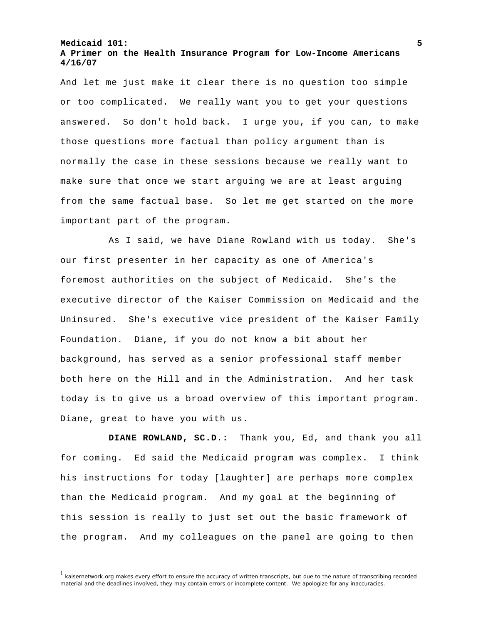And let me just make it clear there is no question too simple or too complicated. We really want you to get your questions answered. So don't hold back. I urge you, if you can, to make those questions more factual than policy argument than is normally the case in these sessions because we really want to make sure that once we start arguing we are at least arguing from the same factual base. So let me get started on the more important part of the program.

 As I said, we have Diane Rowland with us today. She's our first presenter in her capacity as one of America's foremost authorities on the subject of Medicaid. She's the executive director of the Kaiser Commission on Medicaid and the Uninsured. She's executive vice president of the Kaiser Family Foundation. Diane, if you do not know a bit about her background, has served as a senior professional staff member both here on the Hill and in the Administration. And her task today is to give us a broad overview of this important program. Diane, great to have you with us.

**DIANE ROWLAND, SC.D.:** Thank you, Ed, and thank you all for coming. Ed said the Medicaid program was complex. I think his instructions for today [laughter] are perhaps more complex than the Medicaid program. And my goal at the beginning of this session is really to just set out the basic framework of the program. And my colleagues on the panel are going to then

<sup>&</sup>lt;sup>1</sup> kaisernetwork.org makes every effort to ensure the accuracy of written transcripts, but due to the nature of transcribing recorded material and the deadlines involved, they may contain errors or incomplete content. We apologize for any inaccuracies.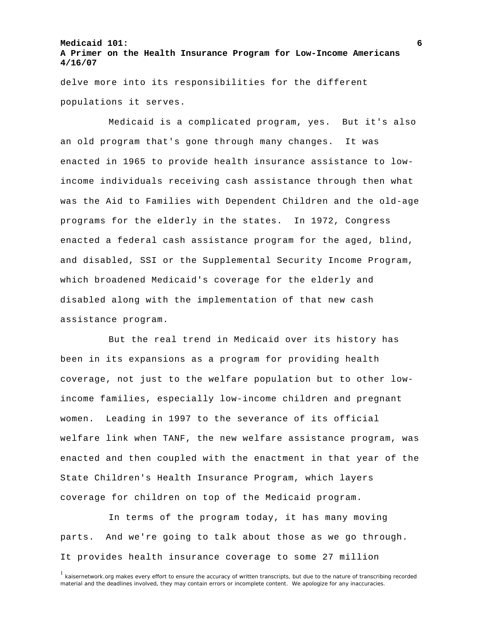delve more into its responsibilities for the different populations it serves.

 Medicaid is a complicated program, yes. But it's also an old program that's gone through many changes. It was enacted in 1965 to provide health insurance assistance to lowincome individuals receiving cash assistance through then what was the Aid to Families with Dependent Children and the old-age programs for the elderly in the states. In 1972, Congress enacted a federal cash assistance program for the aged, blind, and disabled, SSI or the Supplemental Security Income Program, which broadened Medicaid's coverage for the elderly and disabled along with the implementation of that new cash assistance program.

 But the real trend in Medicaid over its history has been in its expansions as a program for providing health coverage, not just to the welfare population but to other lowincome families, especially low-income children and pregnant women. Leading in 1997 to the severance of its official welfare link when TANF, the new welfare assistance program, was enacted and then coupled with the enactment in that year of the State Children's Health Insurance Program, which layers coverage for children on top of the Medicaid program.

 In terms of the program today, it has many moving parts. And we're going to talk about those as we go through. It provides health insurance coverage to some 27 million

<sup>&</sup>lt;sup>1</sup> kaisernetwork.org makes every effort to ensure the accuracy of written transcripts, but due to the nature of transcribing recorded material and the deadlines involved, they may contain errors or incomplete content. We apologize for any inaccuracies.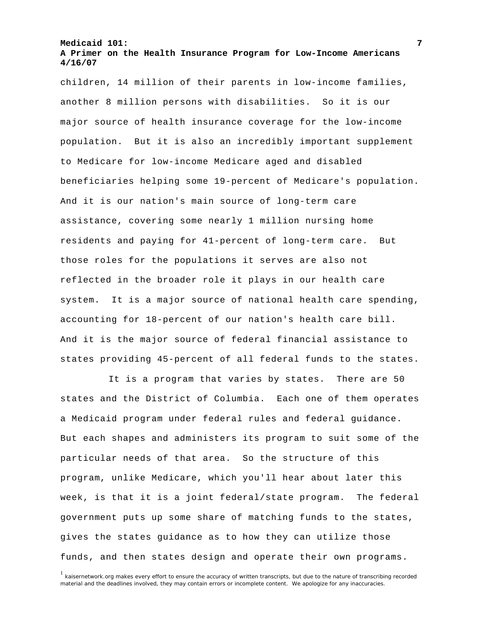# **A Primer on the Health Insurance Program for Low-Income Americans 4/16/07**

children, 14 million of their parents in low-income families, another 8 million persons with disabilities. So it is our major source of health insurance coverage for the low-income population. But it is also an incredibly important supplement to Medicare for low-income Medicare aged and disabled beneficiaries helping some 19-percent of Medicare's population. And it is our nation's main source of long-term care assistance, covering some nearly 1 million nursing home residents and paying for 41-percent of long-term care. But those roles for the populations it serves are also not reflected in the broader role it plays in our health care system. It is a major source of national health care spending, accounting for 18-percent of our nation's health care bill. And it is the major source of federal financial assistance to states providing 45-percent of all federal funds to the states.

 It is a program that varies by states. There are 50 states and the District of Columbia. Each one of them operates a Medicaid program under federal rules and federal guidance. But each shapes and administers its program to suit some of the particular needs of that area. So the structure of this program, unlike Medicare, which you'll hear about later this week, is that it is a joint federal/state program. The federal government puts up some share of matching funds to the states, gives the states guidance as to how they can utilize those funds, and then states design and operate their own programs.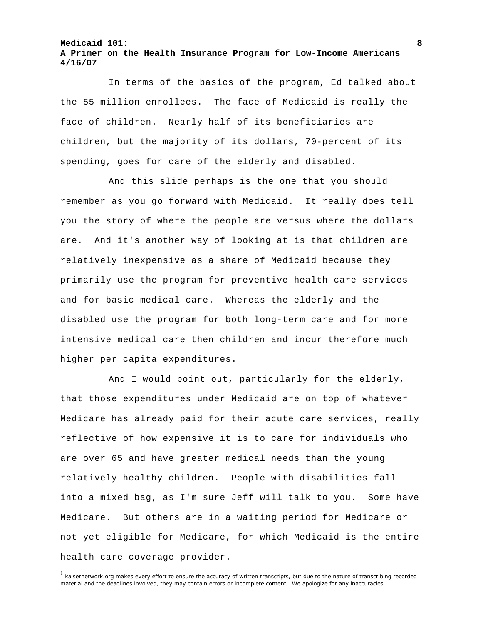In terms of the basics of the program, Ed talked about the 55 million enrollees. The face of Medicaid is really the face of children. Nearly half of its beneficiaries are children, but the majority of its dollars, 70-percent of its spending, goes for care of the elderly and disabled.

 And this slide perhaps is the one that you should remember as you go forward with Medicaid. It really does tell you the story of where the people are versus where the dollars are. And it's another way of looking at is that children are relatively inexpensive as a share of Medicaid because they primarily use the program for preventive health care services and for basic medical care. Whereas the elderly and the disabled use the program for both long-term care and for more intensive medical care then children and incur therefore much higher per capita expenditures.

 And I would point out, particularly for the elderly, that those expenditures under Medicaid are on top of whatever Medicare has already paid for their acute care services, really reflective of how expensive it is to care for individuals who are over 65 and have greater medical needs than the young relatively healthy children. People with disabilities fall into a mixed bag, as I'm sure Jeff will talk to you. Some have Medicare. But others are in a waiting period for Medicare or not yet eligible for Medicare, for which Medicaid is the entire health care coverage provider.

<sup>&</sup>lt;sup>1</sup> kaisernetwork.org makes every effort to ensure the accuracy of written transcripts, but due to the nature of transcribing recorded material and the deadlines involved, they may contain errors or incomplete content. We apologize for any inaccuracies.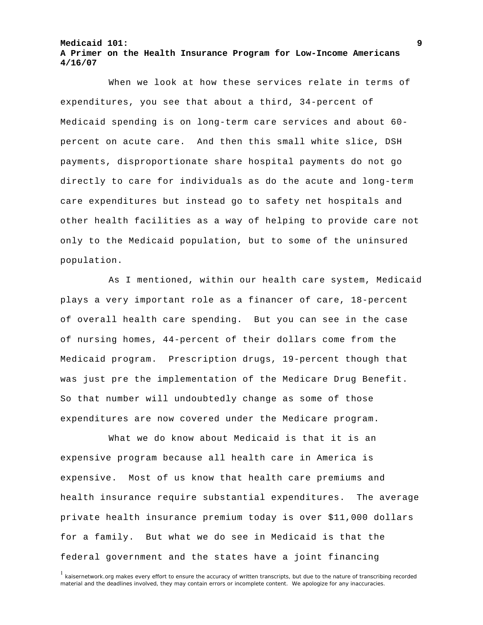When we look at how these services relate in terms of expenditures, you see that about a third, 34-percent of Medicaid spending is on long-term care services and about 60 percent on acute care. And then this small white slice, DSH payments, disproportionate share hospital payments do not go directly to care for individuals as do the acute and long-term care expenditures but instead go to safety net hospitals and other health facilities as a way of helping to provide care not only to the Medicaid population, but to some of the uninsured population.

 As I mentioned, within our health care system, Medicaid plays a very important role as a financer of care, 18-percent of overall health care spending. But you can see in the case of nursing homes, 44-percent of their dollars come from the Medicaid program. Prescription drugs, 19-percent though that was just pre the implementation of the Medicare Drug Benefit. So that number will undoubtedly change as some of those expenditures are now covered under the Medicare program.

 What we do know about Medicaid is that it is an expensive program because all health care in America is expensive. Most of us know that health care premiums and health insurance require substantial expenditures. The average private health insurance premium today is over \$11,000 dollars for a family. But what we do see in Medicaid is that the federal government and the states have a joint financing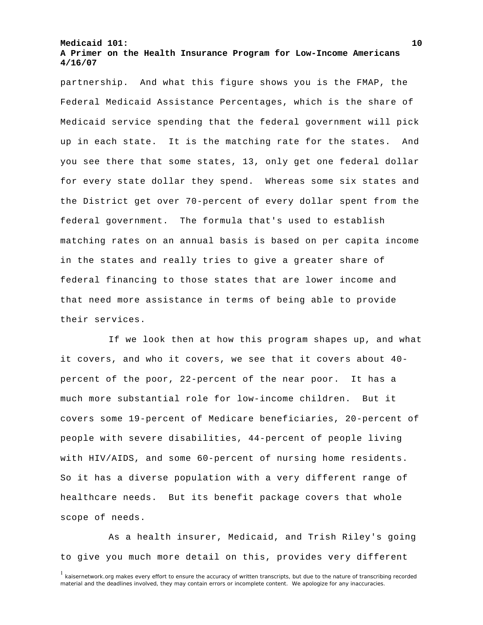# **A Primer on the Health Insurance Program for Low-Income Americans 4/16/07**

partnership. And what this figure shows you is the FMAP, the Federal Medicaid Assistance Percentages, which is the share of Medicaid service spending that the federal government will pick up in each state. It is the matching rate for the states. And you see there that some states, 13, only get one federal dollar for every state dollar they spend. Whereas some six states and the District get over 70-percent of every dollar spent from the federal government. The formula that's used to establish matching rates on an annual basis is based on per capita income in the states and really tries to give a greater share of federal financing to those states that are lower income and that need more assistance in terms of being able to provide their services.

 If we look then at how this program shapes up, and what it covers, and who it covers, we see that it covers about 40 percent of the poor, 22-percent of the near poor. It has a much more substantial role for low-income children. But it covers some 19-percent of Medicare beneficiaries, 20-percent of people with severe disabilities, 44-percent of people living with HIV/AIDS, and some 60-percent of nursing home residents. So it has a diverse population with a very different range of healthcare needs. But its benefit package covers that whole scope of needs.

 As a health insurer, Medicaid, and Trish Riley's going to give you much more detail on this, provides very different

<sup>&</sup>lt;sup>1</sup> kaisernetwork.org makes every effort to ensure the accuracy of written transcripts, but due to the nature of transcribing recorded material and the deadlines involved, they may contain errors or incomplete content. We apologize for any inaccuracies.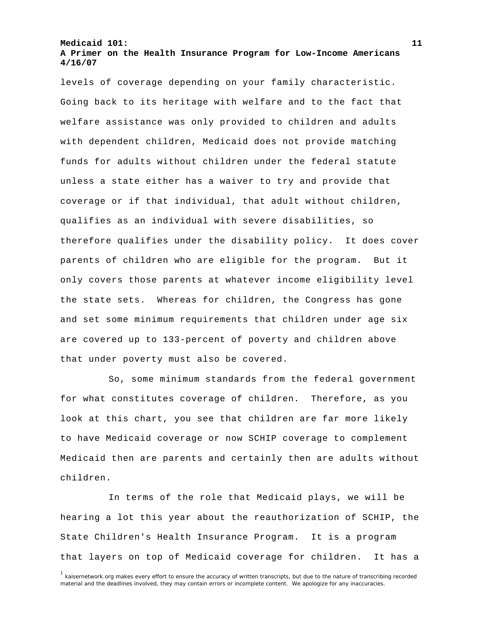levels of coverage depending on your family characteristic. Going back to its heritage with welfare and to the fact that welfare assistance was only provided to children and adults with dependent children, Medicaid does not provide matching funds for adults without children under the federal statute unless a state either has a waiver to try and provide that coverage or if that individual, that adult without children, qualifies as an individual with severe disabilities, so therefore qualifies under the disability policy. It does cover parents of children who are eligible for the program. But it only covers those parents at whatever income eligibility level the state sets. Whereas for children, the Congress has gone and set some minimum requirements that children under age six are covered up to 133-percent of poverty and children above that under poverty must also be covered.

 So, some minimum standards from the federal government for what constitutes coverage of children. Therefore, as you look at this chart, you see that children are far more likely to have Medicaid coverage or now SCHIP coverage to complement Medicaid then are parents and certainly then are adults without children.

 In terms of the role that Medicaid plays, we will be hearing a lot this year about the reauthorization of SCHIP, the State Children's Health Insurance Program. It is a program that layers on top of Medicaid coverage for children. It has a

<sup>&</sup>lt;sup>1</sup> kaisernetwork.org makes every effort to ensure the accuracy of written transcripts, but due to the nature of transcribing recorded material and the deadlines involved, they may contain errors or incomplete content. We apologize for any inaccuracies.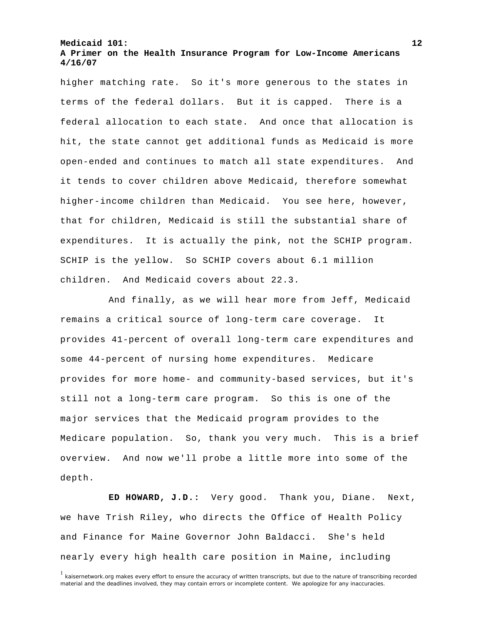# **A Primer on the Health Insurance Program for Low-Income Americans 4/16/07**

higher matching rate. So it's more generous to the states in terms of the federal dollars. But it is capped. There is a federal allocation to each state. And once that allocation is hit, the state cannot get additional funds as Medicaid is more open-ended and continues to match all state expenditures. And it tends to cover children above Medicaid, therefore somewhat higher-income children than Medicaid. You see here, however, that for children, Medicaid is still the substantial share of expenditures. It is actually the pink, not the SCHIP program. SCHIP is the yellow. So SCHIP covers about 6.1 million children. And Medicaid covers about 22.3.

 And finally, as we will hear more from Jeff, Medicaid remains a critical source of long-term care coverage. It provides 41-percent of overall long-term care expenditures and some 44-percent of nursing home expenditures. Medicare provides for more home- and community-based services, but it's still not a long-term care program. So this is one of the major services that the Medicaid program provides to the Medicare population. So, thank you very much. This is a brief overview. And now we'll probe a little more into some of the depth.

**ED HOWARD, J.D.:** Very good. Thank you, Diane. Next, we have Trish Riley, who directs the Office of Health Policy and Finance for Maine Governor John Baldacci. She's held nearly every high health care position in Maine, including

<sup>&</sup>lt;sup>1</sup> kaisernetwork.org makes every effort to ensure the accuracy of written transcripts, but due to the nature of transcribing recorded material and the deadlines involved, they may contain errors or incomplete content. We apologize for any inaccuracies.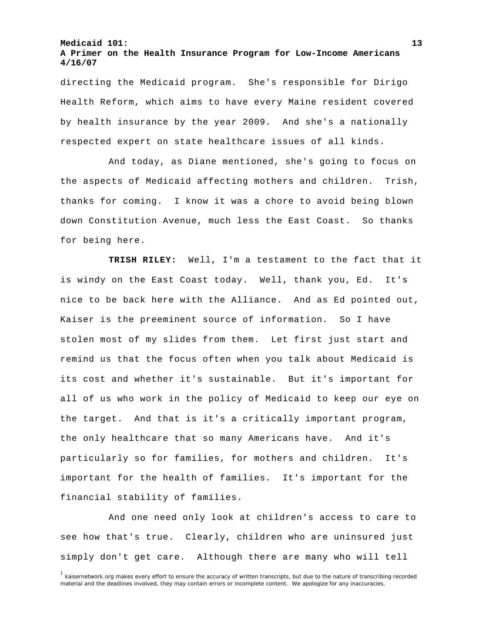directing the Medicaid program. She's responsible for Dirigo Health Reform, which aims to have every Maine resident covered by health insurance by the year 2009. And she's a nationally respected expert on state healthcare issues of all kinds.

 And today, as Diane mentioned, she's going to focus on the aspects of Medicaid affecting mothers and children. Trish, thanks for coming. I know it was a chore to avoid being blown down Constitution Avenue, much less the East Coast. So thanks for being here.

**TRISH RILEY:** Well, I'm a testament to the fact that it is windy on the East Coast today. Well, thank you, Ed. It's nice to be back here with the Alliance. And as Ed pointed out, Kaiser is the preeminent source of information. So I have stolen most of my slides from them. Let first just start and remind us that the focus often when you talk about Medicaid is its cost and whether it's sustainable. But it's important for all of us who work in the policy of Medicaid to keep our eye on the target. And that is it's a critically important program, the only healthcare that so many Americans have. And it's particularly so for families, for mothers and children. It's important for the health of families. It's important for the financial stability of families.

 And one need only look at children's access to care to see how that's true. Clearly, children who are uninsured just simply don't get care. Although there are many who will tell

<sup>&</sup>lt;sup>1</sup> kaisernetwork.org makes every effort to ensure the accuracy of written transcripts, but due to the nature of transcribing recorded material and the deadlines involved, they may contain errors or incomplete content. We apologize for any inaccuracies.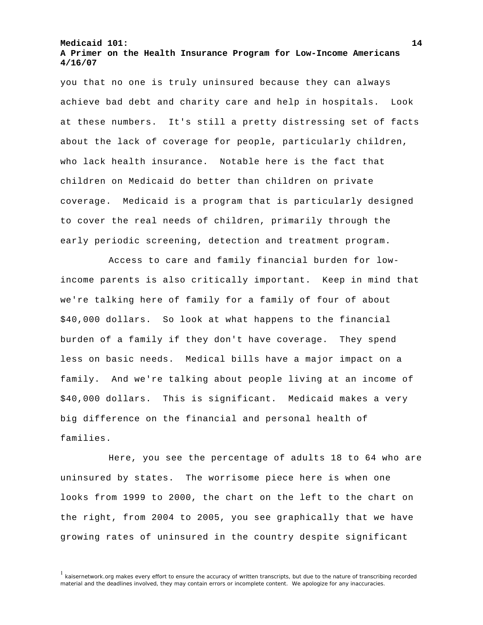## **A Primer on the Health Insurance Program for Low-Income Americans 4/16/07**

you that no one is truly uninsured because they can always achieve bad debt and charity care and help in hospitals. Look at these numbers. It's still a pretty distressing set of facts about the lack of coverage for people, particularly children, who lack health insurance. Notable here is the fact that children on Medicaid do better than children on private coverage. Medicaid is a program that is particularly designed to cover the real needs of children, primarily through the early periodic screening, detection and treatment program.

 Access to care and family financial burden for lowincome parents is also critically important. Keep in mind that we're talking here of family for a family of four of about \$40,000 dollars. So look at what happens to the financial burden of a family if they don't have coverage. They spend less on basic needs. Medical bills have a major impact on a family. And we're talking about people living at an income of \$40,000 dollars. This is significant. Medicaid makes a very big difference on the financial and personal health of families.

 Here, you see the percentage of adults 18 to 64 who are uninsured by states. The worrisome piece here is when one looks from 1999 to 2000, the chart on the left to the chart on the right, from 2004 to 2005, you see graphically that we have growing rates of uninsured in the country despite significant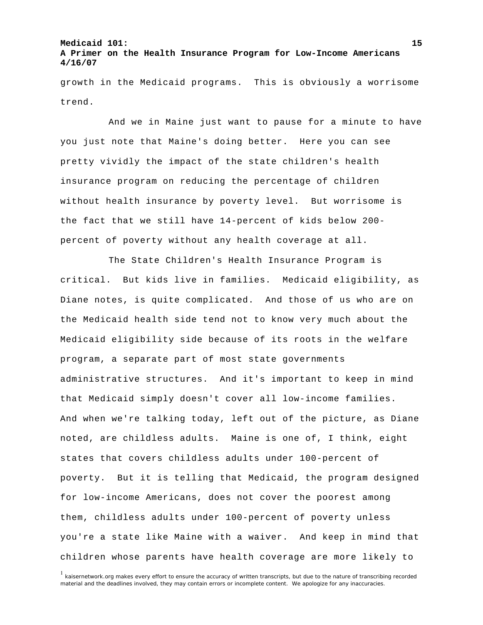growth in the Medicaid programs. This is obviously a worrisome trend.

 And we in Maine just want to pause for a minute to have you just note that Maine's doing better. Here you can see pretty vividly the impact of the state children's health insurance program on reducing the percentage of children without health insurance by poverty level. But worrisome is the fact that we still have 14-percent of kids below 200 percent of poverty without any health coverage at all.

 The State Children's Health Insurance Program is critical. But kids live in families. Medicaid eligibility, as Diane notes, is quite complicated. And those of us who are on the Medicaid health side tend not to know very much about the Medicaid eligibility side because of its roots in the welfare program, a separate part of most state governments administrative structures. And it's important to keep in mind that Medicaid simply doesn't cover all low-income families. And when we're talking today, left out of the picture, as Diane noted, are childless adults. Maine is one of, I think, eight states that covers childless adults under 100-percent of poverty. But it is telling that Medicaid, the program designed for low-income Americans, does not cover the poorest among them, childless adults under 100-percent of poverty unless you're a state like Maine with a waiver. And keep in mind that children whose parents have health coverage are more likely to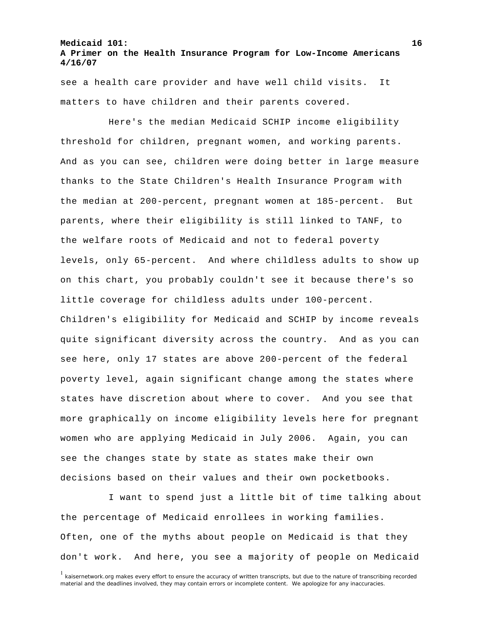see a health care provider and have well child visits. It matters to have children and their parents covered.

 Here's the median Medicaid SCHIP income eligibility threshold for children, pregnant women, and working parents. And as you can see, children were doing better in large measure thanks to the State Children's Health Insurance Program with the median at 200-percent, pregnant women at 185-percent. But parents, where their eligibility is still linked to TANF, to the welfare roots of Medicaid and not to federal poverty levels, only 65-percent. And where childless adults to show up on this chart, you probably couldn't see it because there's so little coverage for childless adults under 100-percent. Children's eligibility for Medicaid and SCHIP by income reveals quite significant diversity across the country. And as you can see here, only 17 states are above 200-percent of the federal poverty level, again significant change among the states where states have discretion about where to cover. And you see that more graphically on income eligibility levels here for pregnant women who are applying Medicaid in July 2006. Again, you can see the changes state by state as states make their own decisions based on their values and their own pocketbooks.

 I want to spend just a little bit of time talking about the percentage of Medicaid enrollees in working families. Often, one of the myths about people on Medicaid is that they don't work. And here, you see a majority of people on Medicaid

<sup>&</sup>lt;sup>1</sup> kaisernetwork.org makes every effort to ensure the accuracy of written transcripts, but due to the nature of transcribing recorded material and the deadlines involved, they may contain errors or incomplete content. We apologize for any inaccuracies.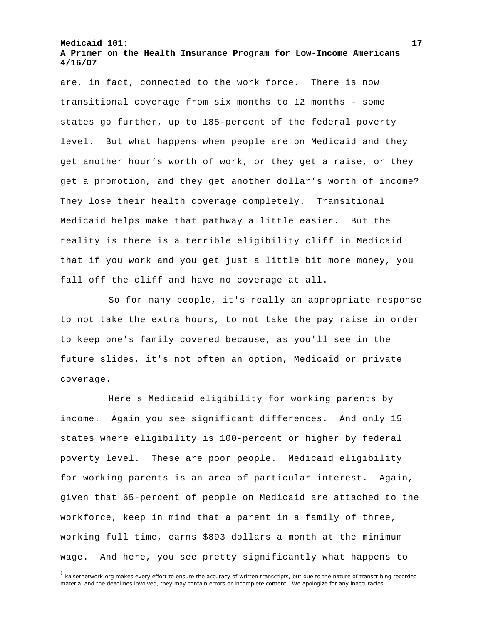## **A Primer on the Health Insurance Program for Low-Income Americans 4/16/07**

are, in fact, connected to the work force. There is now transitional coverage from six months to 12 months - some states go further, up to 185-percent of the federal poverty level. But what happens when people are on Medicaid and they get another hour's worth of work, or they get a raise, or they get a promotion, and they get another dollar's worth of income? They lose their health coverage completely. Transitional Medicaid helps make that pathway a little easier. But the reality is there is a terrible eligibility cliff in Medicaid that if you work and you get just a little bit more money, you fall off the cliff and have no coverage at all.

 So for many people, it's really an appropriate response to not take the extra hours, to not take the pay raise in order to keep one's family covered because, as you'll see in the future slides, it's not often an option, Medicaid or private coverage.

 Here's Medicaid eligibility for working parents by income. Again you see significant differences. And only 15 states where eligibility is 100-percent or higher by federal poverty level. These are poor people. Medicaid eligibility for working parents is an area of particular interest. Again, given that 65-percent of people on Medicaid are attached to the workforce, keep in mind that a parent in a family of three, working full time, earns \$893 dollars a month at the minimum wage. And here, you see pretty significantly what happens to

<sup>1</sup> kaisernetwork.org makes every effort to ensure the accuracy of written transcripts, but due to the nature of transcribing recorded material and the deadlines involved, they may contain errors or incomplete content. We apologize for any inaccuracies.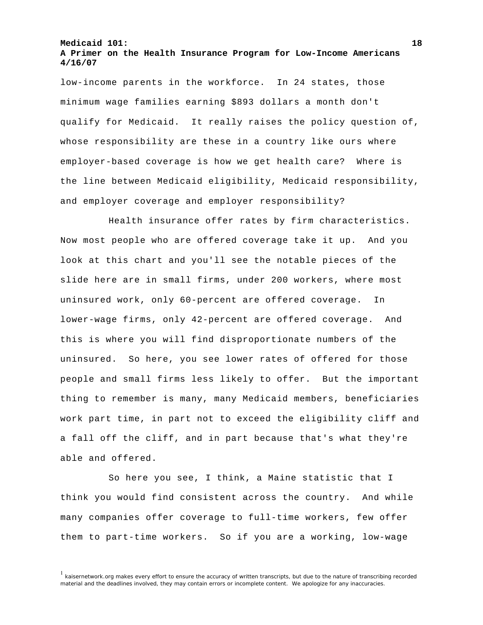# **A Primer on the Health Insurance Program for Low-Income Americans 4/16/07**

low-income parents in the workforce. In 24 states, those minimum wage families earning \$893 dollars a month don't qualify for Medicaid. It really raises the policy question of, whose responsibility are these in a country like ours where employer-based coverage is how we get health care? Where is the line between Medicaid eligibility, Medicaid responsibility, and employer coverage and employer responsibility?

 Health insurance offer rates by firm characteristics. Now most people who are offered coverage take it up. And you look at this chart and you'll see the notable pieces of the slide here are in small firms, under 200 workers, where most uninsured work, only 60-percent are offered coverage. In lower-wage firms, only 42-percent are offered coverage. And this is where you will find disproportionate numbers of the uninsured. So here, you see lower rates of offered for those people and small firms less likely to offer. But the important thing to remember is many, many Medicaid members, beneficiaries work part time, in part not to exceed the eligibility cliff and a fall off the cliff, and in part because that's what they're able and offered.

 So here you see, I think, a Maine statistic that I think you would find consistent across the country. And while many companies offer coverage to full-time workers, few offer them to part-time workers. So if you are a working, low-wage

<sup>&</sup>lt;sup>1</sup> kaisernetwork.org makes every effort to ensure the accuracy of written transcripts, but due to the nature of transcribing recorded material and the deadlines involved, they may contain errors or incomplete content. We apologize for any inaccuracies.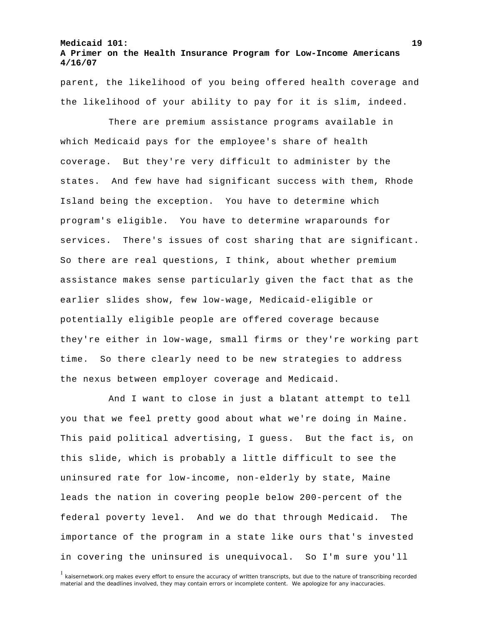parent, the likelihood of you being offered health coverage and the likelihood of your ability to pay for it is slim, indeed.

 There are premium assistance programs available in which Medicaid pays for the employee's share of health coverage. But they're very difficult to administer by the states. And few have had significant success with them, Rhode Island being the exception. You have to determine which program's eligible. You have to determine wraparounds for services. There's issues of cost sharing that are significant. So there are real questions, I think, about whether premium assistance makes sense particularly given the fact that as the earlier slides show, few low-wage, Medicaid-eligible or potentially eligible people are offered coverage because they're either in low-wage, small firms or they're working part time. So there clearly need to be new strategies to address the nexus between employer coverage and Medicaid.

 And I want to close in just a blatant attempt to tell you that we feel pretty good about what we're doing in Maine. This paid political advertising, I guess. But the fact is, on this slide, which is probably a little difficult to see the uninsured rate for low-income, non-elderly by state, Maine leads the nation in covering people below 200-percent of the federal poverty level. And we do that through Medicaid. The importance of the program in a state like ours that's invested in covering the uninsured is unequivocal. So I'm sure you'll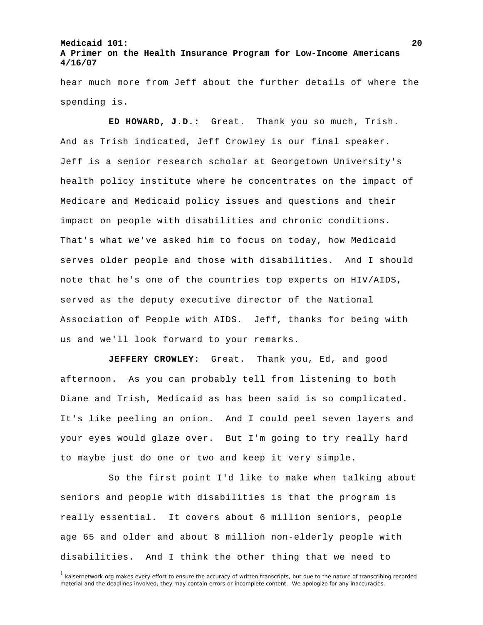hear much more from Jeff about the further details of where the spending is.

**ED HOWARD, J.D.:** Great. Thank you so much, Trish. And as Trish indicated, Jeff Crowley is our final speaker. Jeff is a senior research scholar at Georgetown University's health policy institute where he concentrates on the impact of Medicare and Medicaid policy issues and questions and their impact on people with disabilities and chronic conditions. That's what we've asked him to focus on today, how Medicaid serves older people and those with disabilities. And I should note that he's one of the countries top experts on HIV/AIDS, served as the deputy executive director of the National Association of People with AIDS. Jeff, thanks for being with us and we'll look forward to your remarks.

**JEFFERY CROWLEY:** Great. Thank you, Ed, and good afternoon. As you can probably tell from listening to both Diane and Trish, Medicaid as has been said is so complicated. It's like peeling an onion. And I could peel seven layers and your eyes would glaze over. But I'm going to try really hard to maybe just do one or two and keep it very simple.

 So the first point I'd like to make when talking about seniors and people with disabilities is that the program is really essential. It covers about 6 million seniors, people age 65 and older and about 8 million non-elderly people with disabilities. And I think the other thing that we need to

<sup>&</sup>lt;sup>1</sup> kaisernetwork.org makes every effort to ensure the accuracy of written transcripts, but due to the nature of transcribing recorded material and the deadlines involved, they may contain errors or incomplete content. We apologize for any inaccuracies.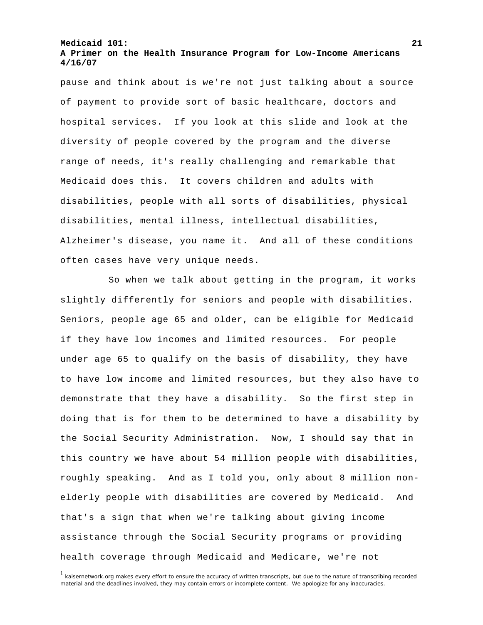pause and think about is we're not just talking about a source of payment to provide sort of basic healthcare, doctors and hospital services. If you look at this slide and look at the diversity of people covered by the program and the diverse range of needs, it's really challenging and remarkable that Medicaid does this. It covers children and adults with disabilities, people with all sorts of disabilities, physical disabilities, mental illness, intellectual disabilities, Alzheimer's disease, you name it. And all of these conditions often cases have very unique needs.

 So when we talk about getting in the program, it works slightly differently for seniors and people with disabilities. Seniors, people age 65 and older, can be eligible for Medicaid if they have low incomes and limited resources. For people under age 65 to qualify on the basis of disability, they have to have low income and limited resources, but they also have to demonstrate that they have a disability. So the first step in doing that is for them to be determined to have a disability by the Social Security Administration. Now, I should say that in this country we have about 54 million people with disabilities, roughly speaking. And as I told you, only about 8 million nonelderly people with disabilities are covered by Medicaid. And that's a sign that when we're talking about giving income assistance through the Social Security programs or providing health coverage through Medicaid and Medicare, we're not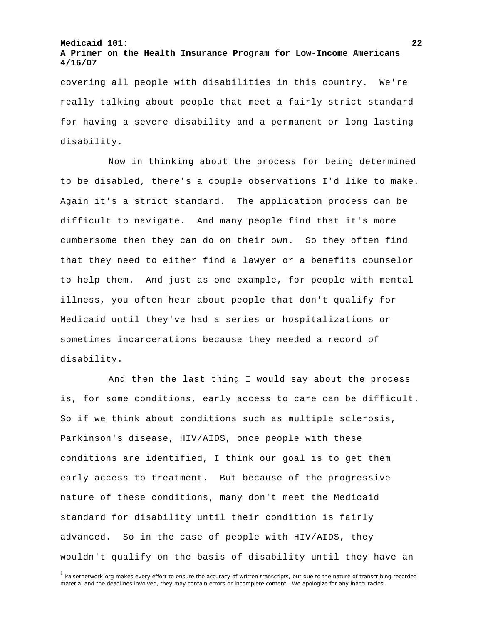# **A Primer on the Health Insurance Program for Low-Income Americans 4/16/07**

covering all people with disabilities in this country. We're really talking about people that meet a fairly strict standard for having a severe disability and a permanent or long lasting disability.

 Now in thinking about the process for being determined to be disabled, there's a couple observations I'd like to make. Again it's a strict standard. The application process can be difficult to navigate. And many people find that it's more cumbersome then they can do on their own. So they often find that they need to either find a lawyer or a benefits counselor to help them. And just as one example, for people with mental illness, you often hear about people that don't qualify for Medicaid until they've had a series or hospitalizations or sometimes incarcerations because they needed a record of disability.

 And then the last thing I would say about the process is, for some conditions, early access to care can be difficult. So if we think about conditions such as multiple sclerosis, Parkinson's disease, HIV/AIDS, once people with these conditions are identified, I think our goal is to get them early access to treatment. But because of the progressive nature of these conditions, many don't meet the Medicaid standard for disability until their condition is fairly advanced. So in the case of people with HIV/AIDS, they wouldn't qualify on the basis of disability until they have an

<sup>&</sup>lt;sup>1</sup> kaisernetwork.org makes every effort to ensure the accuracy of written transcripts, but due to the nature of transcribing recorded material and the deadlines involved, they may contain errors or incomplete content. We apologize for any inaccuracies.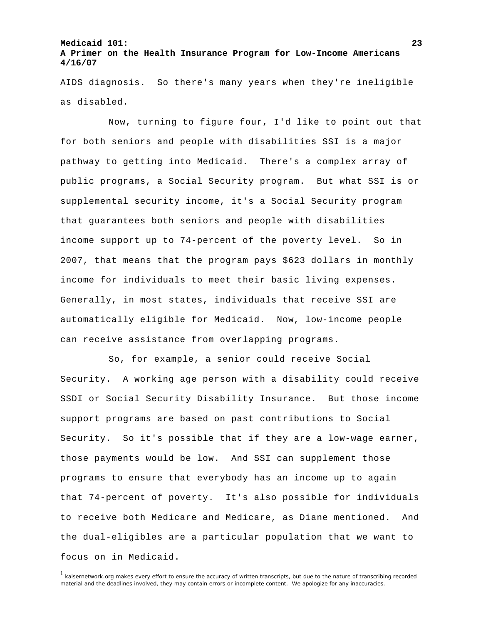AIDS diagnosis. So there's many years when they're ineligible as disabled.

 Now, turning to figure four, I'd like to point out that for both seniors and people with disabilities SSI is a major pathway to getting into Medicaid. There's a complex array of public programs, a Social Security program. But what SSI is or supplemental security income, it's a Social Security program that guarantees both seniors and people with disabilities income support up to 74-percent of the poverty level. So in 2007, that means that the program pays \$623 dollars in monthly income for individuals to meet their basic living expenses. Generally, in most states, individuals that receive SSI are automatically eligible for Medicaid. Now, low-income people can receive assistance from overlapping programs.

 So, for example, a senior could receive Social Security. A working age person with a disability could receive SSDI or Social Security Disability Insurance. But those income support programs are based on past contributions to Social Security. So it's possible that if they are a low-wage earner, those payments would be low. And SSI can supplement those programs to ensure that everybody has an income up to again that 74-percent of poverty. It's also possible for individuals to receive both Medicare and Medicare, as Diane mentioned. And the dual-eligibles are a particular population that we want to focus on in Medicaid.

<sup>1</sup> kaisernetwork.org makes every effort to ensure the accuracy of written transcripts, but due to the nature of transcribing recorded material and the deadlines involved, they may contain errors or incomplete content. We apologize for any inaccuracies.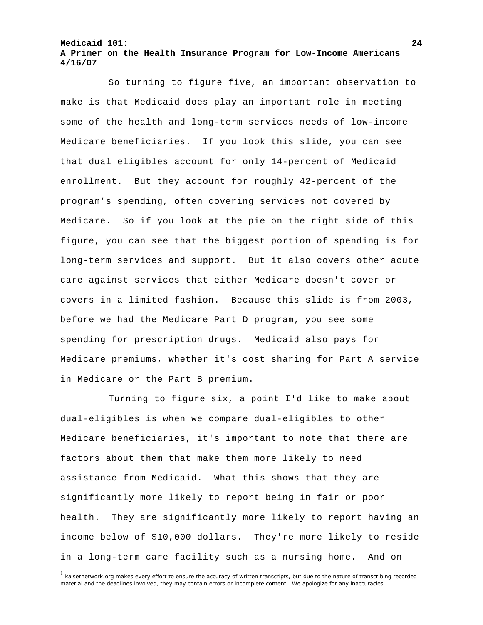So turning to figure five, an important observation to make is that Medicaid does play an important role in meeting some of the health and long-term services needs of low-income Medicare beneficiaries. If you look this slide, you can see that dual eligibles account for only 14-percent of Medicaid enrollment. But they account for roughly 42-percent of the program's spending, often covering services not covered by Medicare. So if you look at the pie on the right side of this figure, you can see that the biggest portion of spending is for long-term services and support. But it also covers other acute care against services that either Medicare doesn't cover or covers in a limited fashion. Because this slide is from 2003, before we had the Medicare Part D program, you see some spending for prescription drugs. Medicaid also pays for Medicare premiums, whether it's cost sharing for Part A service in Medicare or the Part B premium.

 Turning to figure six, a point I'd like to make about dual-eligibles is when we compare dual-eligibles to other Medicare beneficiaries, it's important to note that there are factors about them that make them more likely to need assistance from Medicaid. What this shows that they are significantly more likely to report being in fair or poor health. They are significantly more likely to report having an income below of \$10,000 dollars. They're more likely to reside in a long-term care facility such as a nursing home. And on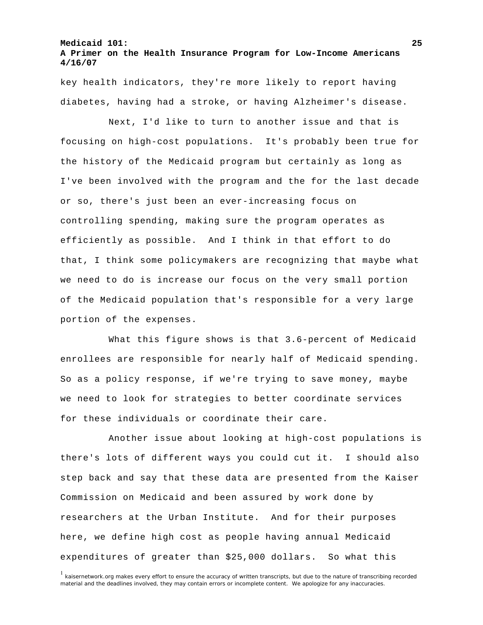key health indicators, they're more likely to report having diabetes, having had a stroke, or having Alzheimer's disease.

 Next, I'd like to turn to another issue and that is focusing on high-cost populations. It's probably been true for the history of the Medicaid program but certainly as long as I've been involved with the program and the for the last decade or so, there's just been an ever-increasing focus on controlling spending, making sure the program operates as efficiently as possible. And I think in that effort to do that, I think some policymakers are recognizing that maybe what we need to do is increase our focus on the very small portion of the Medicaid population that's responsible for a very large portion of the expenses.

 What this figure shows is that 3.6-percent of Medicaid enrollees are responsible for nearly half of Medicaid spending. So as a policy response, if we're trying to save money, maybe we need to look for strategies to better coordinate services for these individuals or coordinate their care.

 Another issue about looking at high-cost populations is there's lots of different ways you could cut it. I should also step back and say that these data are presented from the Kaiser Commission on Medicaid and been assured by work done by researchers at the Urban Institute. And for their purposes here, we define high cost as people having annual Medicaid expenditures of greater than \$25,000 dollars. So what this

<sup>&</sup>lt;sup>1</sup> kaisernetwork.org makes every effort to ensure the accuracy of written transcripts, but due to the nature of transcribing recorded material and the deadlines involved, they may contain errors or incomplete content. We apologize for any inaccuracies.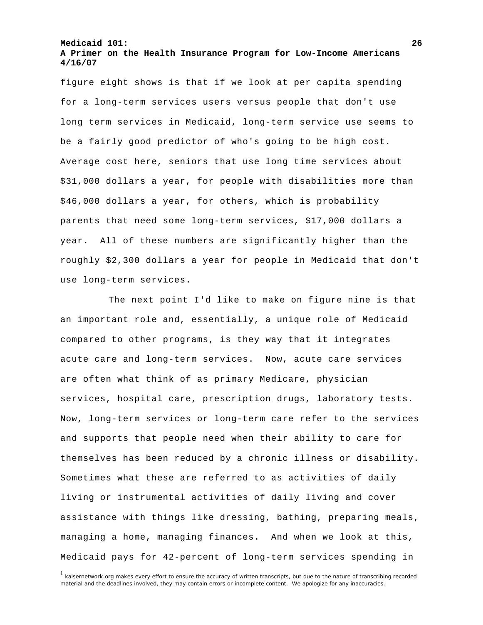figure eight shows is that if we look at per capita spending for a long-term services users versus people that don't use long term services in Medicaid, long-term service use seems to be a fairly good predictor of who's going to be high cost. Average cost here, seniors that use long time services about \$31,000 dollars a year, for people with disabilities more than \$46,000 dollars a year, for others, which is probability parents that need some long-term services, \$17,000 dollars a year. All of these numbers are significantly higher than the roughly \$2,300 dollars a year for people in Medicaid that don't use long-term services.

 The next point I'd like to make on figure nine is that an important role and, essentially, a unique role of Medicaid compared to other programs, is they way that it integrates acute care and long-term services. Now, acute care services are often what think of as primary Medicare, physician services, hospital care, prescription drugs, laboratory tests. Now, long-term services or long-term care refer to the services and supports that people need when their ability to care for themselves has been reduced by a chronic illness or disability. Sometimes what these are referred to as activities of daily living or instrumental activities of daily living and cover assistance with things like dressing, bathing, preparing meals, managing a home, managing finances. And when we look at this, Medicaid pays for 42-percent of long-term services spending in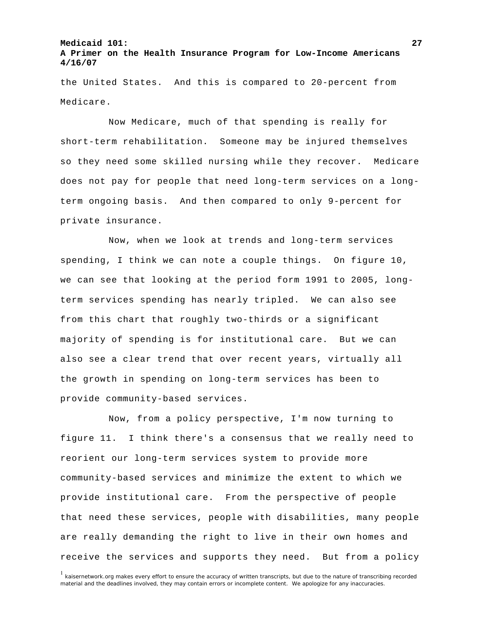the United States. And this is compared to 20-percent from Medicare.

 Now Medicare, much of that spending is really for short-term rehabilitation. Someone may be injured themselves so they need some skilled nursing while they recover. Medicare does not pay for people that need long-term services on a longterm ongoing basis. And then compared to only 9-percent for private insurance.

 Now, when we look at trends and long-term services spending, I think we can note a couple things. On figure 10, we can see that looking at the period form 1991 to 2005, longterm services spending has nearly tripled. We can also see from this chart that roughly two-thirds or a significant majority of spending is for institutional care. But we can also see a clear trend that over recent years, virtually all the growth in spending on long-term services has been to provide community-based services.

 Now, from a policy perspective, I'm now turning to figure 11. I think there's a consensus that we really need to reorient our long-term services system to provide more community-based services and minimize the extent to which we provide institutional care. From the perspective of people that need these services, people with disabilities, many people are really demanding the right to live in their own homes and receive the services and supports they need. But from a policy

<sup>&</sup>lt;sup>1</sup> kaisernetwork.org makes every effort to ensure the accuracy of written transcripts, but due to the nature of transcribing recorded material and the deadlines involved, they may contain errors or incomplete content. We apologize for any inaccuracies.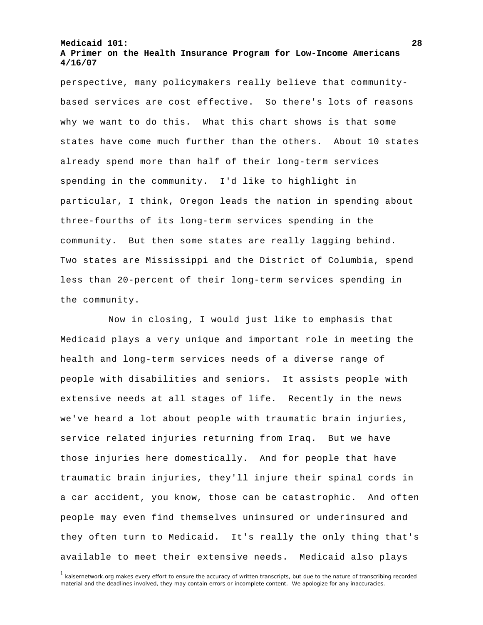# **A Primer on the Health Insurance Program for Low-Income Americans 4/16/07**

perspective, many policymakers really believe that communitybased services are cost effective. So there's lots of reasons why we want to do this. What this chart shows is that some states have come much further than the others. About 10 states already spend more than half of their long-term services spending in the community. I'd like to highlight in particular, I think, Oregon leads the nation in spending about three-fourths of its long-term services spending in the community. But then some states are really lagging behind. Two states are Mississippi and the District of Columbia, spend less than 20-percent of their long-term services spending in the community.

 Now in closing, I would just like to emphasis that Medicaid plays a very unique and important role in meeting the health and long-term services needs of a diverse range of people with disabilities and seniors. It assists people with extensive needs at all stages of life. Recently in the news we've heard a lot about people with traumatic brain injuries, service related injuries returning from Iraq. But we have those injuries here domestically. And for people that have traumatic brain injuries, they'll injure their spinal cords in a car accident, you know, those can be catastrophic. And often people may even find themselves uninsured or underinsured and they often turn to Medicaid. It's really the only thing that's available to meet their extensive needs. Medicaid also plays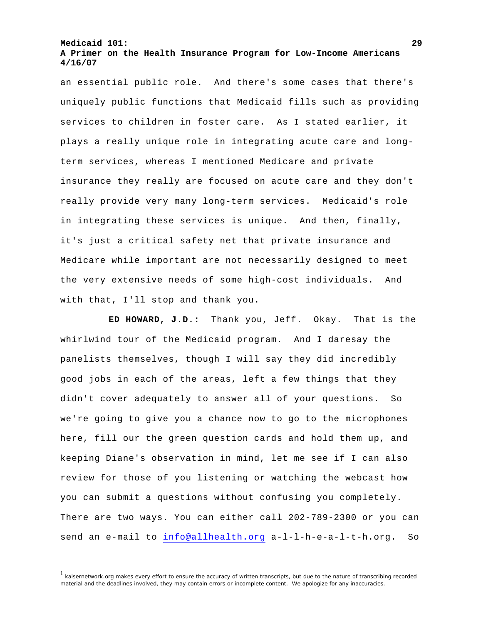# **A Primer on the Health Insurance Program for Low-Income Americans 4/16/07**

an essential public role. And there's some cases that there's uniquely public functions that Medicaid fills such as providing services to children in foster care. As I stated earlier, it plays a really unique role in integrating acute care and longterm services, whereas I mentioned Medicare and private insurance they really are focused on acute care and they don't really provide very many long-term services. Medicaid's role in integrating these services is unique. And then, finally, it's just a critical safety net that private insurance and Medicare while important are not necessarily designed to meet the very extensive needs of some high-cost individuals. And with that, I'll stop and thank you.

**ED HOWARD, J.D.:** Thank you, Jeff. Okay. That is the whirlwind tour of the Medicaid program. And I daresay the panelists themselves, though I will say they did incredibly good jobs in each of the areas, left a few things that they didn't cover adequately to answer all of your questions. So we're going to give you a chance now to go to the microphones here, fill our the green question cards and hold them up, and keeping Diane's observation in mind, let me see if I can also review for those of you listening or watching the webcast how you can submit a questions without confusing you completely. There are two ways. You can either call 202-789-2300 or you can send an e-mail to [info@allhealth.org](mailto:info@allhealth.org) a-l-l-h-e-a-l-t-h.org. So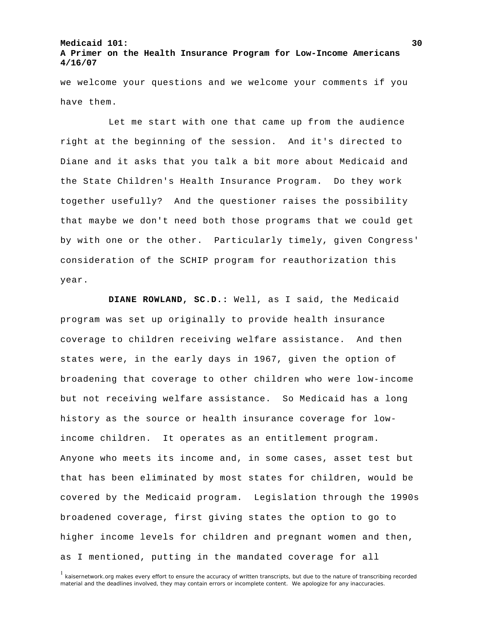we welcome your questions and we welcome your comments if you have them.

 Let me start with one that came up from the audience right at the beginning of the session. And it's directed to Diane and it asks that you talk a bit more about Medicaid and the State Children's Health Insurance Program. Do they work together usefully? And the questioner raises the possibility that maybe we don't need both those programs that we could get by with one or the other. Particularly timely, given Congress' consideration of the SCHIP program for reauthorization this year.

**DIANE ROWLAND, SC.D.:** Well, as I said, the Medicaid program was set up originally to provide health insurance coverage to children receiving welfare assistance. And then states were, in the early days in 1967, given the option of broadening that coverage to other children who were low-income but not receiving welfare assistance. So Medicaid has a long history as the source or health insurance coverage for lowincome children. It operates as an entitlement program. Anyone who meets its income and, in some cases, asset test but that has been eliminated by most states for children, would be covered by the Medicaid program. Legislation through the 1990s broadened coverage, first giving states the option to go to higher income levels for children and pregnant women and then, as I mentioned, putting in the mandated coverage for all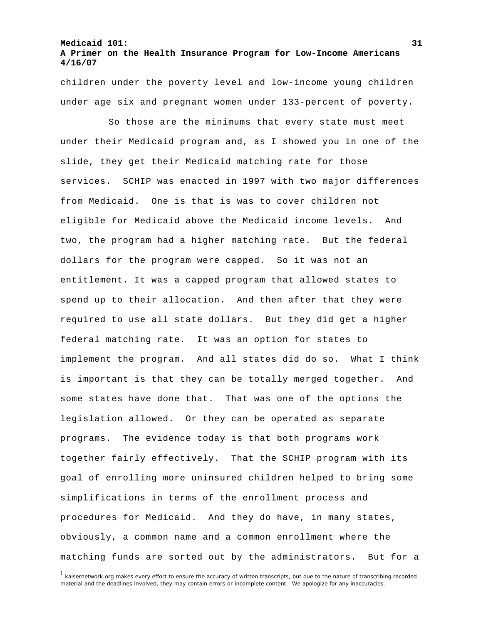children under the poverty level and low-income young children under age six and pregnant women under 133-percent of poverty.

 So those are the minimums that every state must meet under their Medicaid program and, as I showed you in one of the slide, they get their Medicaid matching rate for those services. SCHIP was enacted in 1997 with two major differences from Medicaid. One is that is was to cover children not eligible for Medicaid above the Medicaid income levels. And two, the program had a higher matching rate. But the federal dollars for the program were capped. So it was not an entitlement. It was a capped program that allowed states to spend up to their allocation. And then after that they were required to use all state dollars. But they did get a higher federal matching rate. It was an option for states to implement the program. And all states did do so. What I think is important is that they can be totally merged together. And some states have done that. That was one of the options the legislation allowed. Or they can be operated as separate programs. The evidence today is that both programs work together fairly effectively. That the SCHIP program with its goal of enrolling more uninsured children helped to bring some simplifications in terms of the enrollment process and procedures for Medicaid. And they do have, in many states, obviously, a common name and a common enrollment where the matching funds are sorted out by the administrators. But for a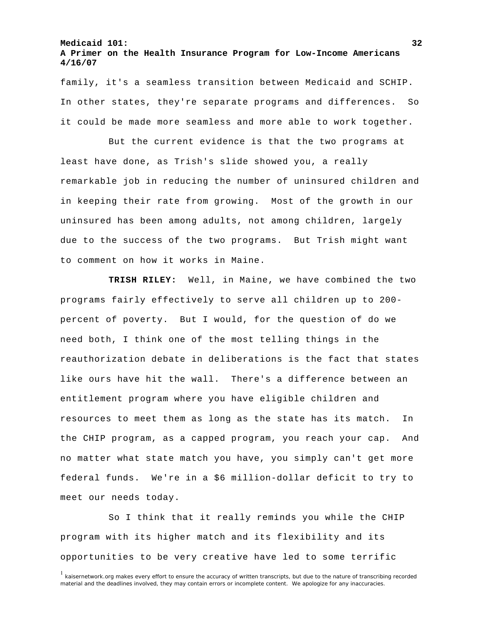family, it's a seamless transition between Medicaid and SCHIP. In other states, they're separate programs and differences. So it could be made more seamless and more able to work together.

 But the current evidence is that the two programs at least have done, as Trish's slide showed you, a really remarkable job in reducing the number of uninsured children and in keeping their rate from growing. Most of the growth in our uninsured has been among adults, not among children, largely due to the success of the two programs. But Trish might want to comment on how it works in Maine.

**TRISH RILEY:** Well, in Maine, we have combined the two programs fairly effectively to serve all children up to 200 percent of poverty. But I would, for the question of do we need both, I think one of the most telling things in the reauthorization debate in deliberations is the fact that states like ours have hit the wall. There's a difference between an entitlement program where you have eligible children and resources to meet them as long as the state has its match. In the CHIP program, as a capped program, you reach your cap. And no matter what state match you have, you simply can't get more federal funds. We're in a \$6 million-dollar deficit to try to meet our needs today.

 So I think that it really reminds you while the CHIP program with its higher match and its flexibility and its opportunities to be very creative have led to some terrific

<sup>&</sup>lt;sup>1</sup> kaisernetwork.org makes every effort to ensure the accuracy of written transcripts, but due to the nature of transcribing recorded material and the deadlines involved, they may contain errors or incomplete content. We apologize for any inaccuracies.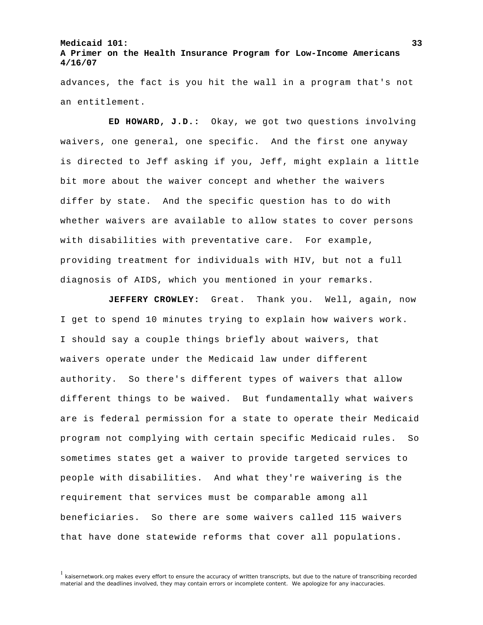advances, the fact is you hit the wall in a program that's not an entitlement.

**ED HOWARD, J.D.:** Okay, we got two questions involving waivers, one general, one specific. And the first one anyway is directed to Jeff asking if you, Jeff, might explain a little bit more about the waiver concept and whether the waivers differ by state. And the specific question has to do with whether waivers are available to allow states to cover persons with disabilities with preventative care. For example, providing treatment for individuals with HIV, but not a full diagnosis of AIDS, which you mentioned in your remarks.

**JEFFERY CROWLEY:** Great. Thank you. Well, again, now I get to spend 10 minutes trying to explain how waivers work. I should say a couple things briefly about waivers, that waivers operate under the Medicaid law under different authority. So there's different types of waivers that allow different things to be waived. But fundamentally what waivers are is federal permission for a state to operate their Medicaid program not complying with certain specific Medicaid rules. So sometimes states get a waiver to provide targeted services to people with disabilities. And what they're waivering is the requirement that services must be comparable among all beneficiaries. So there are some waivers called 115 waivers that have done statewide reforms that cover all populations.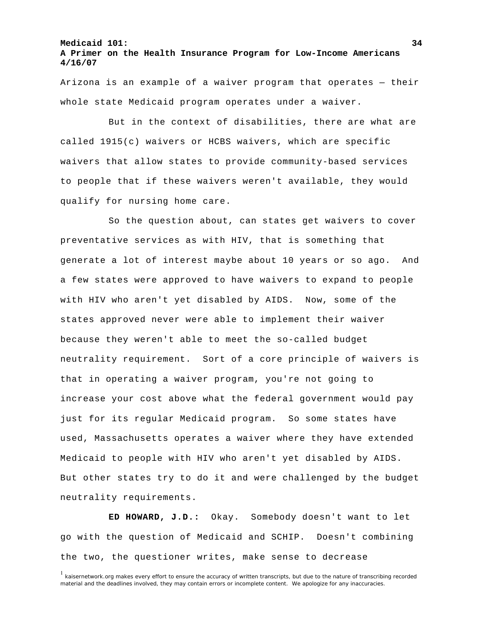Arizona is an example of a waiver program that operates — their whole state Medicaid program operates under a waiver.

 But in the context of disabilities, there are what are called 1915(c) waivers or HCBS waivers, which are specific waivers that allow states to provide community-based services to people that if these waivers weren't available, they would qualify for nursing home care.

 So the question about, can states get waivers to cover preventative services as with HIV, that is something that generate a lot of interest maybe about 10 years or so ago. And a few states were approved to have waivers to expand to people with HIV who aren't yet disabled by AIDS. Now, some of the states approved never were able to implement their waiver because they weren't able to meet the so-called budget neutrality requirement. Sort of a core principle of waivers is that in operating a waiver program, you're not going to increase your cost above what the federal government would pay just for its regular Medicaid program. So some states have used, Massachusetts operates a waiver where they have extended Medicaid to people with HIV who aren't yet disabled by AIDS. But other states try to do it and were challenged by the budget neutrality requirements.

**ED HOWARD, J.D.:** Okay. Somebody doesn't want to let go with the question of Medicaid and SCHIP. Doesn't combining the two, the questioner writes, make sense to decrease

<sup>1</sup> kaisernetwork.org makes every effort to ensure the accuracy of written transcripts, but due to the nature of transcribing recorded material and the deadlines involved, they may contain errors or incomplete content. We apologize for any inaccuracies.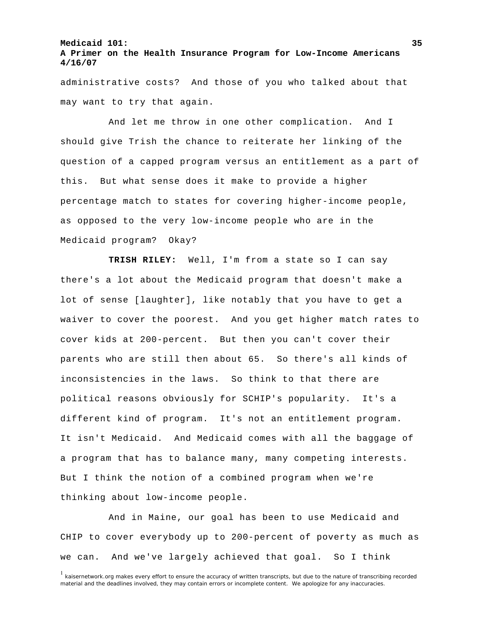administrative costs? And those of you who talked about that may want to try that again.

 And let me throw in one other complication. And I should give Trish the chance to reiterate her linking of the question of a capped program versus an entitlement as a part of this. But what sense does it make to provide a higher percentage match to states for covering higher-income people, as opposed to the very low-income people who are in the Medicaid program? Okay?

**TRISH RILEY:** Well, I'm from a state so I can say there's a lot about the Medicaid program that doesn't make a lot of sense [laughter], like notably that you have to get a waiver to cover the poorest. And you get higher match rates to cover kids at 200-percent. But then you can't cover their parents who are still then about 65. So there's all kinds of inconsistencies in the laws. So think to that there are political reasons obviously for SCHIP's popularity. It's a different kind of program. It's not an entitlement program. It isn't Medicaid. And Medicaid comes with all the baggage of a program that has to balance many, many competing interests. But I think the notion of a combined program when we're thinking about low-income people.

 And in Maine, our goal has been to use Medicaid and CHIP to cover everybody up to 200-percent of poverty as much as we can. And we've largely achieved that goal. So I think

<sup>&</sup>lt;sup>1</sup> kaisernetwork.org makes every effort to ensure the accuracy of written transcripts, but due to the nature of transcribing recorded material and the deadlines involved, they may contain errors or incomplete content. We apologize for any inaccuracies.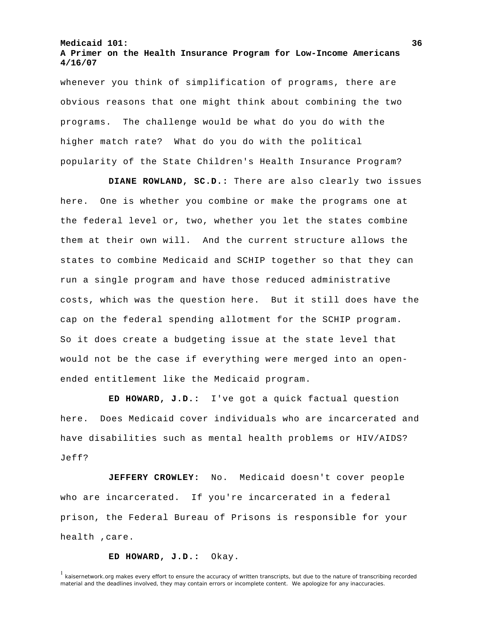whenever you think of simplification of programs, there are obvious reasons that one might think about combining the two programs. The challenge would be what do you do with the higher match rate? What do you do with the political popularity of the State Children's Health Insurance Program?

**DIANE ROWLAND, SC.D.:** There are also clearly two issues here. One is whether you combine or make the programs one at the federal level or, two, whether you let the states combine them at their own will. And the current structure allows the states to combine Medicaid and SCHIP together so that they can run a single program and have those reduced administrative costs, which was the question here. But it still does have the cap on the federal spending allotment for the SCHIP program. So it does create a budgeting issue at the state level that would not be the case if everything were merged into an openended entitlement like the Medicaid program.

**ED HOWARD, J.D.:** I've got a quick factual question here. Does Medicaid cover individuals who are incarcerated and have disabilities such as mental health problems or HIV/AIDS? Jeff?

**JEFFERY CROWLEY:** No. Medicaid doesn't cover people who are incarcerated. If you're incarcerated in a federal prison, the Federal Bureau of Prisons is responsible for your health ,care.

#### **ED HOWARD, J.D.:** Okay.

<sup>&</sup>lt;sup>1</sup> kaisernetwork.org makes every effort to ensure the accuracy of written transcripts, but due to the nature of transcribing recorded material and the deadlines involved, they may contain errors or incomplete content. We apologize for any inaccuracies.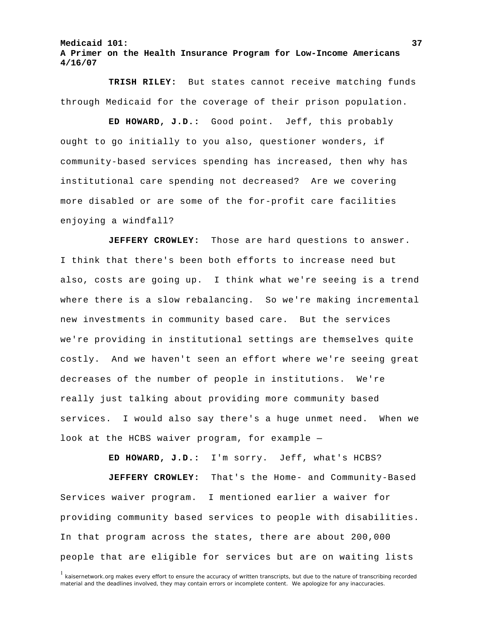**TRISH RILEY:** But states cannot receive matching funds through Medicaid for the coverage of their prison population.

**ED HOWARD, J.D.:** Good point. Jeff, this probably ought to go initially to you also, questioner wonders, if community-based services spending has increased, then why has institutional care spending not decreased? Are we covering more disabled or are some of the for-profit care facilities enjoying a windfall?

**JEFFERY CROWLEY:** Those are hard questions to answer. I think that there's been both efforts to increase need but also, costs are going up. I think what we're seeing is a trend where there is a slow rebalancing. So we're making incremental new investments in community based care. But the services we're providing in institutional settings are themselves quite costly. And we haven't seen an effort where we're seeing great decreases of the number of people in institutions. We're really just talking about providing more community based services. I would also say there's a huge unmet need. When we look at the HCBS waiver program, for example —

**ED HOWARD, J.D.:** I'm sorry. Jeff, what's HCBS?

**JEFFERY CROWLEY:** That's the Home- and Community-Based Services waiver program. I mentioned earlier a waiver for providing community based services to people with disabilities. In that program across the states, there are about 200,000 people that are eligible for services but are on waiting lists

<sup>&</sup>lt;sup>1</sup> kaisernetwork.org makes every effort to ensure the accuracy of written transcripts, but due to the nature of transcribing recorded material and the deadlines involved, they may contain errors or incomplete content. We apologize for any inaccuracies.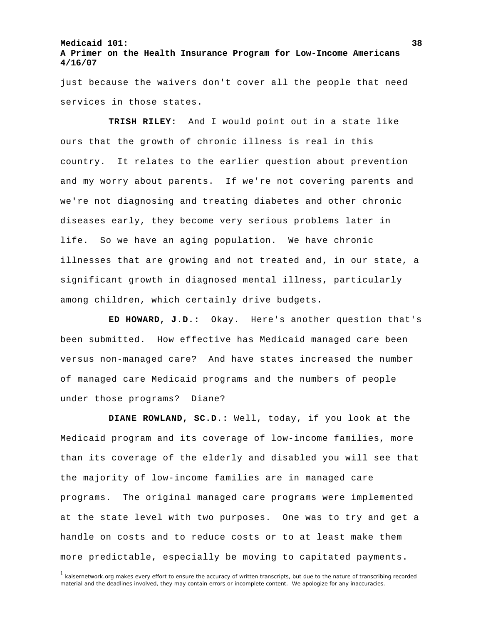just because the waivers don't cover all the people that need services in those states.

**TRISH RILEY:** And I would point out in a state like ours that the growth of chronic illness is real in this country. It relates to the earlier question about prevention and my worry about parents. If we're not covering parents and we're not diagnosing and treating diabetes and other chronic diseases early, they become very serious problems later in life. So we have an aging population. We have chronic illnesses that are growing and not treated and, in our state, a significant growth in diagnosed mental illness, particularly among children, which certainly drive budgets.

**ED HOWARD, J.D.:** Okay. Here's another question that's been submitted. How effective has Medicaid managed care been versus non-managed care? And have states increased the number of managed care Medicaid programs and the numbers of people under those programs? Diane?

**DIANE ROWLAND, SC.D.:** Well, today, if you look at the Medicaid program and its coverage of low-income families, more than its coverage of the elderly and disabled you will see that the majority of low-income families are in managed care programs. The original managed care programs were implemented at the state level with two purposes. One was to try and get a handle on costs and to reduce costs or to at least make them more predictable, especially be moving to capitated payments.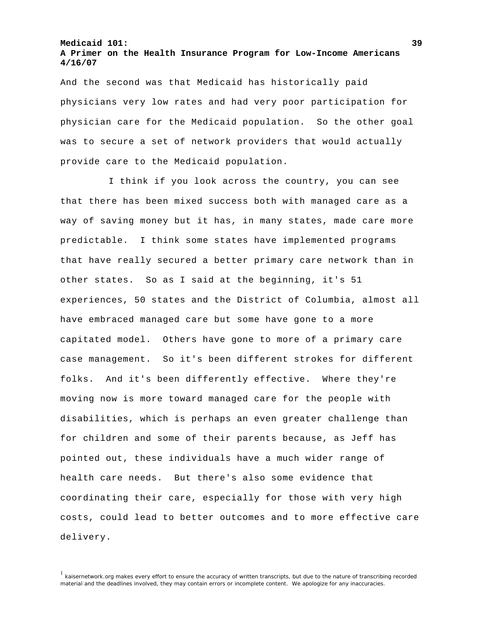And the second was that Medicaid has historically paid physicians very low rates and had very poor participation for physician care for the Medicaid population. So the other goal was to secure a set of network providers that would actually provide care to the Medicaid population.

 I think if you look across the country, you can see that there has been mixed success both with managed care as a way of saving money but it has, in many states, made care more predictable. I think some states have implemented programs that have really secured a better primary care network than in other states. So as I said at the beginning, it's 51 experiences, 50 states and the District of Columbia, almost all have embraced managed care but some have gone to a more capitated model. Others have gone to more of a primary care case management. So it's been different strokes for different folks. And it's been differently effective. Where they're moving now is more toward managed care for the people with disabilities, which is perhaps an even greater challenge than for children and some of their parents because, as Jeff has pointed out, these individuals have a much wider range of health care needs. But there's also some evidence that coordinating their care, especially for those with very high costs, could lead to better outcomes and to more effective care delivery.

<sup>1</sup> kaisernetwork.org makes every effort to ensure the accuracy of written transcripts, but due to the nature of transcribing recorded material and the deadlines involved, they may contain errors or incomplete content. We apologize for any inaccuracies.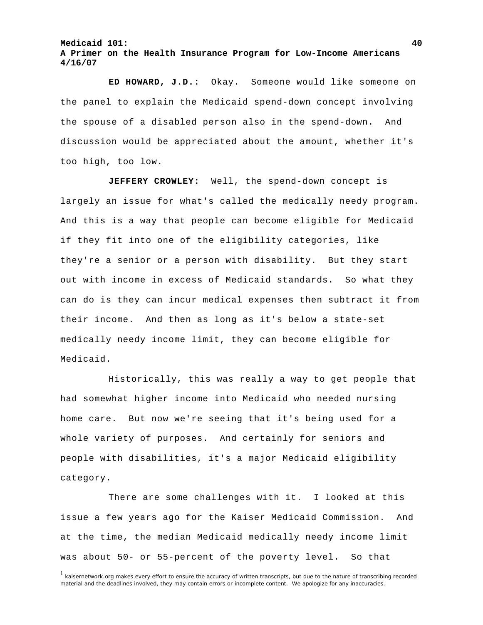**ED HOWARD, J.D.:** Okay. Someone would like someone on the panel to explain the Medicaid spend-down concept involving the spouse of a disabled person also in the spend-down. And discussion would be appreciated about the amount, whether it's too high, too low.

**JEFFERY CROWLEY:** Well, the spend-down concept is largely an issue for what's called the medically needy program. And this is a way that people can become eligible for Medicaid if they fit into one of the eligibility categories, like they're a senior or a person with disability. But they start out with income in excess of Medicaid standards. So what they can do is they can incur medical expenses then subtract it from their income. And then as long as it's below a state-set medically needy income limit, they can become eligible for Medicaid.

 Historically, this was really a way to get people that had somewhat higher income into Medicaid who needed nursing home care. But now we're seeing that it's being used for a whole variety of purposes. And certainly for seniors and people with disabilities, it's a major Medicaid eligibility category.

There are some challenges with it. I looked at this issue a few years ago for the Kaiser Medicaid Commission. And at the time, the median Medicaid medically needy income limit was about 50- or 55-percent of the poverty level. So that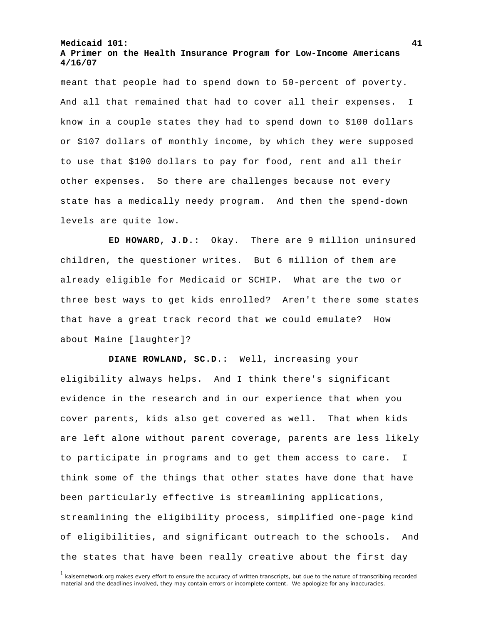meant that people had to spend down to 50-percent of poverty. And all that remained that had to cover all their expenses. I know in a couple states they had to spend down to \$100 dollars or \$107 dollars of monthly income, by which they were supposed to use that \$100 dollars to pay for food, rent and all their other expenses. So there are challenges because not every state has a medically needy program. And then the spend-down levels are quite low.

**ED HOWARD, J.D.:** Okay. There are 9 million uninsured children, the questioner writes. But 6 million of them are already eligible for Medicaid or SCHIP. What are the two or three best ways to get kids enrolled? Aren't there some states that have a great track record that we could emulate? How about Maine [laughter]?

**DIANE ROWLAND, SC.D.:** Well, increasing your eligibility always helps. And I think there's significant evidence in the research and in our experience that when you cover parents, kids also get covered as well. That when kids are left alone without parent coverage, parents are less likely to participate in programs and to get them access to care. I think some of the things that other states have done that have been particularly effective is streamlining applications, streamlining the eligibility process, simplified one-page kind of eligibilities, and significant outreach to the schools. And the states that have been really creative about the first day

<sup>1</sup> kaisernetwork.org makes every effort to ensure the accuracy of written transcripts, but due to the nature of transcribing recorded material and the deadlines involved, they may contain errors or incomplete content. We apologize for any inaccuracies.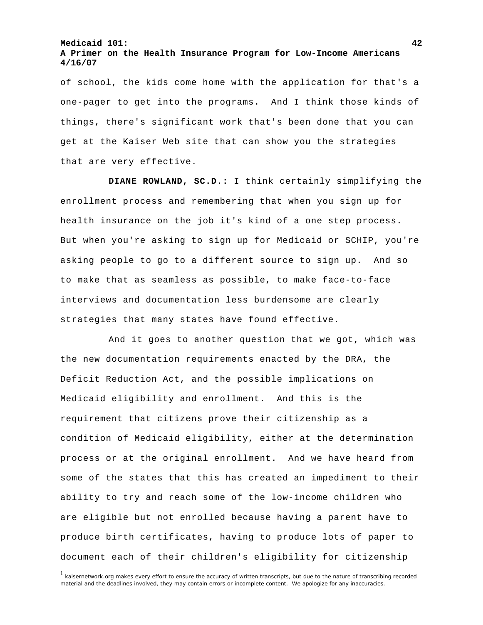of school, the kids come home with the application for that's a one-pager to get into the programs. And I think those kinds of things, there's significant work that's been done that you can get at the Kaiser Web site that can show you the strategies that are very effective.

**DIANE ROWLAND, SC.D.:** I think certainly simplifying the enrollment process and remembering that when you sign up for health insurance on the job it's kind of a one step process. But when you're asking to sign up for Medicaid or SCHIP, you're asking people to go to a different source to sign up. And so to make that as seamless as possible, to make face-to-face interviews and documentation less burdensome are clearly strategies that many states have found effective.

 And it goes to another question that we got, which was the new documentation requirements enacted by the DRA, the Deficit Reduction Act, and the possible implications on Medicaid eligibility and enrollment. And this is the requirement that citizens prove their citizenship as a condition of Medicaid eligibility, either at the determination process or at the original enrollment. And we have heard from some of the states that this has created an impediment to their ability to try and reach some of the low-income children who are eligible but not enrolled because having a parent have to produce birth certificates, having to produce lots of paper to document each of their children's eligibility for citizenship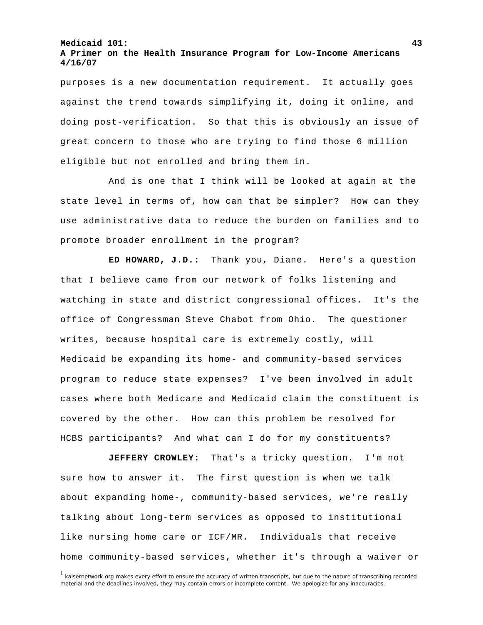purposes is a new documentation requirement. It actually goes against the trend towards simplifying it, doing it online, and doing post-verification. So that this is obviously an issue of great concern to those who are trying to find those 6 million eligible but not enrolled and bring them in.

 And is one that I think will be looked at again at the state level in terms of, how can that be simpler? How can they use administrative data to reduce the burden on families and to promote broader enrollment in the program?

**ED HOWARD, J.D.:** Thank you, Diane. Here's a question that I believe came from our network of folks listening and watching in state and district congressional offices. It's the office of Congressman Steve Chabot from Ohio. The questioner writes, because hospital care is extremely costly, will Medicaid be expanding its home- and community-based services program to reduce state expenses? I've been involved in adult cases where both Medicare and Medicaid claim the constituent is covered by the other. How can this problem be resolved for HCBS participants? And what can I do for my constituents?

**JEFFERY CROWLEY:** That's a tricky question. I'm not sure how to answer it. The first question is when we talk about expanding home-, community-based services, we're really talking about long-term services as opposed to institutional like nursing home care or ICF/MR. Individuals that receive home community-based services, whether it's through a waiver or

<sup>&</sup>lt;sup>1</sup> kaisernetwork.org makes every effort to ensure the accuracy of written transcripts, but due to the nature of transcribing recorded material and the deadlines involved, they may contain errors or incomplete content. We apologize for any inaccuracies.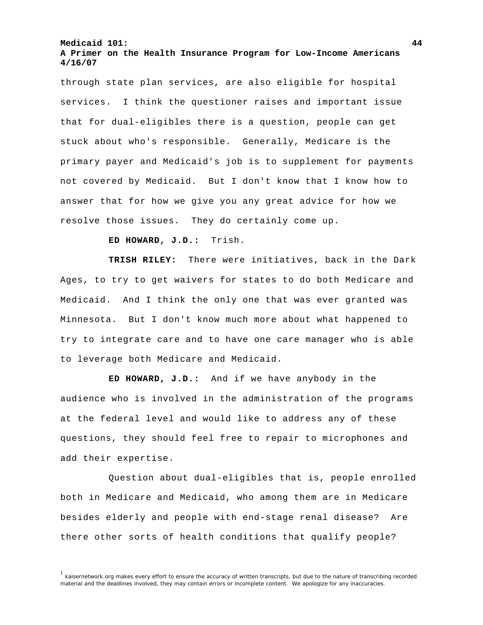through state plan services, are also eligible for hospital services. I think the questioner raises and important issue that for dual-eligibles there is a question, people can get stuck about who's responsible. Generally, Medicare is the primary payer and Medicaid's job is to supplement for payments not covered by Medicaid. But I don't know that I know how to answer that for how we give you any great advice for how we resolve those issues. They do certainly come up.

**ED HOWARD, J.D.:** Trish.

**TRISH RILEY:** There were initiatives, back in the Dark Ages, to try to get waivers for states to do both Medicare and Medicaid. And I think the only one that was ever granted was Minnesota. But I don't know much more about what happened to try to integrate care and to have one care manager who is able to leverage both Medicare and Medicaid.

**ED HOWARD, J.D.:** And if we have anybody in the audience who is involved in the administration of the programs at the federal level and would like to address any of these questions, they should feel free to repair to microphones and add their expertise.

 Question about dual-eligibles that is, people enrolled both in Medicare and Medicaid, who among them are in Medicare besides elderly and people with end-stage renal disease? Are there other sorts of health conditions that qualify people?

<sup>&</sup>lt;sup>1</sup> kaisernetwork.org makes every effort to ensure the accuracy of written transcripts, but due to the nature of transcribing recorded material and the deadlines involved, they may contain errors or incomplete content. We apologize for any inaccuracies.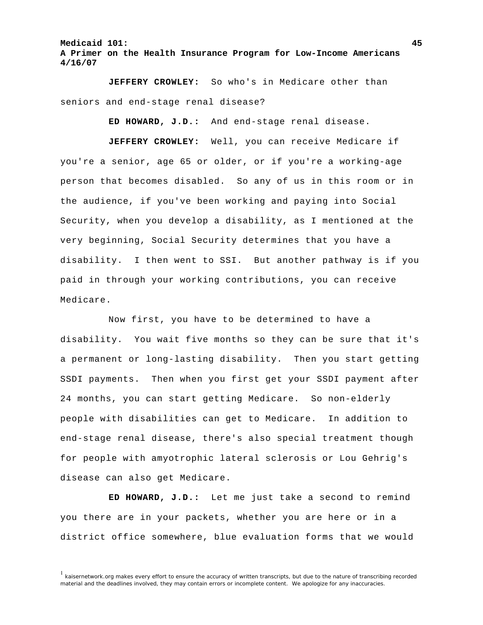**JEFFERY CROWLEY:** So who's in Medicare other than seniors and end-stage renal disease?

**ED HOWARD, J.D.:** And end-stage renal disease.

**JEFFERY CROWLEY:** Well, you can receive Medicare if you're a senior, age 65 or older, or if you're a working-age person that becomes disabled. So any of us in this room or in the audience, if you've been working and paying into Social Security, when you develop a disability, as I mentioned at the very beginning, Social Security determines that you have a disability. I then went to SSI. But another pathway is if you paid in through your working contributions, you can receive Medicare.

 Now first, you have to be determined to have a disability. You wait five months so they can be sure that it's a permanent or long-lasting disability. Then you start getting SSDI payments. Then when you first get your SSDI payment after 24 months, you can start getting Medicare. So non-elderly people with disabilities can get to Medicare. In addition to end-stage renal disease, there's also special treatment though for people with amyotrophic lateral sclerosis or Lou Gehrig's disease can also get Medicare.

**ED HOWARD, J.D.:** Let me just take a second to remind you there are in your packets, whether you are here or in a district office somewhere, blue evaluation forms that we would

<sup>&</sup>lt;sup>1</sup> kaisernetwork.org makes every effort to ensure the accuracy of written transcripts, but due to the nature of transcribing recorded material and the deadlines involved, they may contain errors or incomplete content. We apologize for any inaccuracies.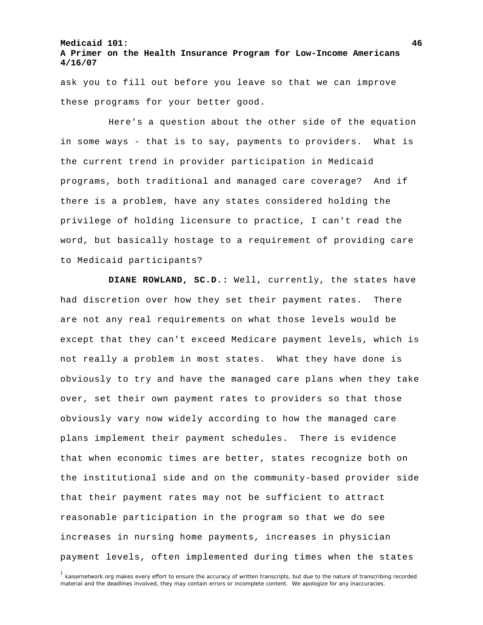ask you to fill out before you leave so that we can improve these programs for your better good.

 Here's a question about the other side of the equation in some ways - that is to say, payments to providers. What is the current trend in provider participation in Medicaid programs, both traditional and managed care coverage? And if there is a problem, have any states considered holding the privilege of holding licensure to practice, I can't read the word, but basically hostage to a requirement of providing care to Medicaid participants?

**DIANE ROWLAND, SC.D.:** Well, currently, the states have had discretion over how they set their payment rates. There are not any real requirements on what those levels would be except that they can't exceed Medicare payment levels, which is not really a problem in most states. What they have done is obviously to try and have the managed care plans when they take over, set their own payment rates to providers so that those obviously vary now widely according to how the managed care plans implement their payment schedules. There is evidence that when economic times are better, states recognize both on the institutional side and on the community-based provider side that their payment rates may not be sufficient to attract reasonable participation in the program so that we do see increases in nursing home payments, increases in physician payment levels, often implemented during times when the states

<sup>1</sup> kaisernetwork.org makes every effort to ensure the accuracy of written transcripts, but due to the nature of transcribing recorded material and the deadlines involved, they may contain errors or incomplete content. We apologize for any inaccuracies.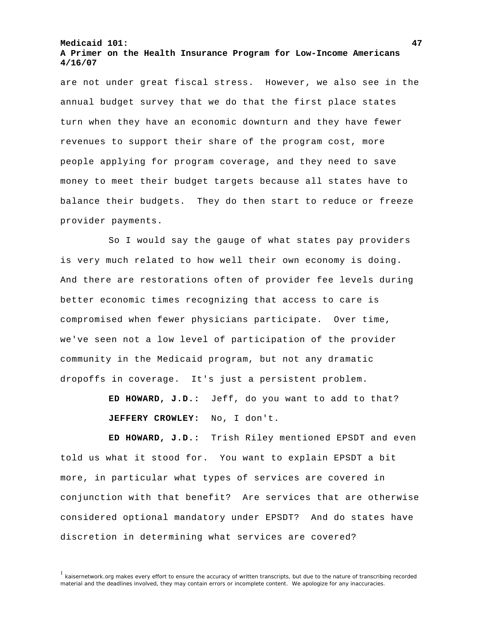**47**

are not under great fiscal stress. However, we also see in the annual budget survey that we do that the first place states turn when they have an economic downturn and they have fewer revenues to support their share of the program cost, more people applying for program coverage, and they need to save money to meet their budget targets because all states have to balance their budgets. They do then start to reduce or freeze provider payments.

 So I would say the gauge of what states pay providers is very much related to how well their own economy is doing. And there are restorations often of provider fee levels during better economic times recognizing that access to care is compromised when fewer physicians participate. Over time, we've seen not a low level of participation of the provider community in the Medicaid program, but not any dramatic dropoffs in coverage. It's just a persistent problem.

> **ED HOWARD, J.D.:** Jeff, do you want to add to that? **JEFFERY CROWLEY:** No, I don't.

**ED HOWARD, J.D.:** Trish Riley mentioned EPSDT and even told us what it stood for. You want to explain EPSDT a bit more, in particular what types of services are covered in conjunction with that benefit? Are services that are otherwise considered optional mandatory under EPSDT? And do states have discretion in determining what services are covered?

<sup>&</sup>lt;sup>1</sup> kaisernetwork.org makes every effort to ensure the accuracy of written transcripts, but due to the nature of transcribing recorded material and the deadlines involved, they may contain errors or incomplete content. We apologize for any inaccuracies.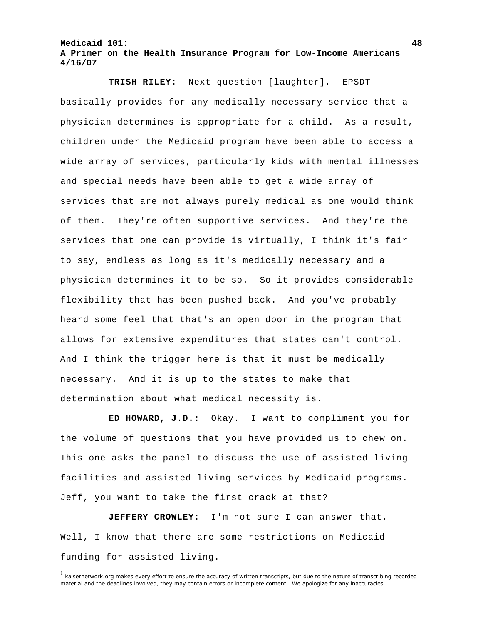**TRISH RILEY:** Next question [laughter]. EPSDT basically provides for any medically necessary service that a physician determines is appropriate for a child. As a result, children under the Medicaid program have been able to access a wide array of services, particularly kids with mental illnesses and special needs have been able to get a wide array of services that are not always purely medical as one would think of them. They're often supportive services. And they're the services that one can provide is virtually, I think it's fair to say, endless as long as it's medically necessary and a physician determines it to be so. So it provides considerable flexibility that has been pushed back. And you've probably heard some feel that that's an open door in the program that allows for extensive expenditures that states can't control. And I think the trigger here is that it must be medically necessary. And it is up to the states to make that determination about what medical necessity is.

**ED HOWARD, J.D.:** Okay. I want to compliment you for the volume of questions that you have provided us to chew on. This one asks the panel to discuss the use of assisted living facilities and assisted living services by Medicaid programs. Jeff, you want to take the first crack at that?

**JEFFERY CROWLEY:** I'm not sure I can answer that. Well, I know that there are some restrictions on Medicaid funding for assisted living.

<sup>&</sup>lt;sup>1</sup> kaisernetwork.org makes every effort to ensure the accuracy of written transcripts, but due to the nature of transcribing recorded material and the deadlines involved, they may contain errors or incomplete content. We apologize for any inaccuracies.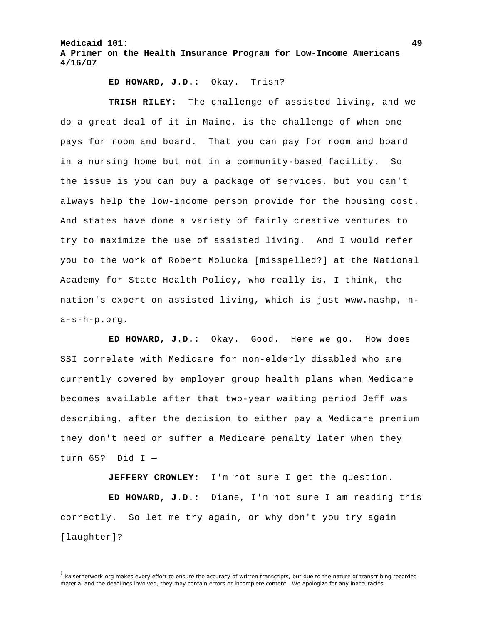**ED HOWARD, J.D.:** Okay. Trish?

**TRISH RILEY:** The challenge of assisted living, and we do a great deal of it in Maine, is the challenge of when one pays for room and board. That you can pay for room and board in a nursing home but not in a community-based facility. So the issue is you can buy a package of services, but you can't always help the low-income person provide for the housing cost. And states have done a variety of fairly creative ventures to try to maximize the use of assisted living. And I would refer you to the work of Robert Molucka [misspelled?] at the National Academy for State Health Policy, who really is, I think, the nation's expert on assisted living, which is just www.nashp, na-s-h-p.org.

**ED HOWARD, J.D.:** Okay. Good. Here we go. How does SSI correlate with Medicare for non-elderly disabled who are currently covered by employer group health plans when Medicare becomes available after that two-year waiting period Jeff was describing, after the decision to either pay a Medicare premium they don't need or suffer a Medicare penalty later when they turn  $65$ ? Did I -

**JEFFERY CROWLEY:** I'm not sure I get the question.

**ED HOWARD, J.D.:** Diane, I'm not sure I am reading this correctly. So let me try again, or why don't you try again [laughter]?

<sup>&</sup>lt;sup>1</sup> kaisernetwork.org makes every effort to ensure the accuracy of written transcripts, but due to the nature of transcribing recorded material and the deadlines involved, they may contain errors or incomplete content. We apologize for any inaccuracies.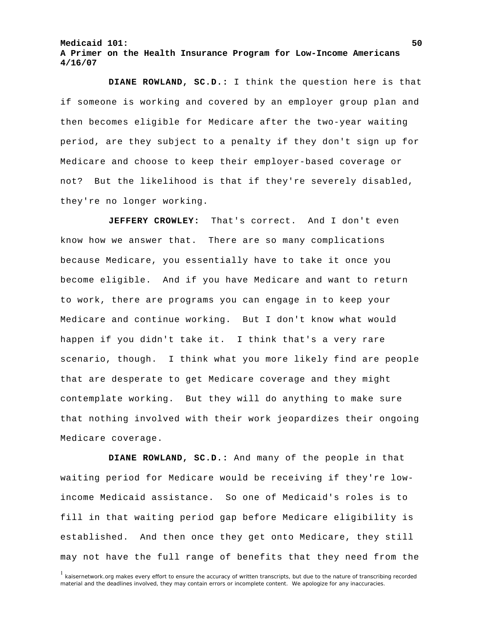**DIANE ROWLAND, SC.D.:** I think the question here is that if someone is working and covered by an employer group plan and then becomes eligible for Medicare after the two-year waiting period, are they subject to a penalty if they don't sign up for Medicare and choose to keep their employer-based coverage or not? But the likelihood is that if they're severely disabled, they're no longer working.

**JEFFERY CROWLEY:** That's correct. And I don't even know how we answer that. There are so many complications because Medicare, you essentially have to take it once you become eligible. And if you have Medicare and want to return to work, there are programs you can engage in to keep your Medicare and continue working. But I don't know what would happen if you didn't take it. I think that's a very rare scenario, though. I think what you more likely find are people that are desperate to get Medicare coverage and they might contemplate working. But they will do anything to make sure that nothing involved with their work jeopardizes their ongoing Medicare coverage.

**DIANE ROWLAND, SC.D.:** And many of the people in that waiting period for Medicare would be receiving if they're lowincome Medicaid assistance. So one of Medicaid's roles is to fill in that waiting period gap before Medicare eligibility is established. And then once they get onto Medicare, they still may not have the full range of benefits that they need from the

<sup>&</sup>lt;sup>1</sup> kaisernetwork.org makes every effort to ensure the accuracy of written transcripts, but due to the nature of transcribing recorded material and the deadlines involved, they may contain errors or incomplete content. We apologize for any inaccuracies.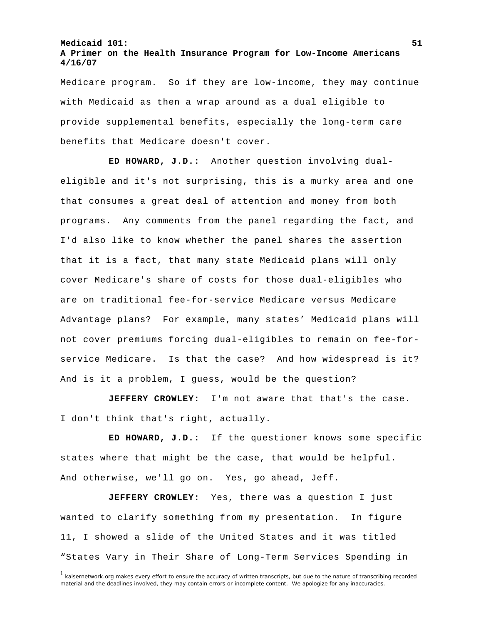Medicare program. So if they are low-income, they may continue with Medicaid as then a wrap around as a dual eligible to provide supplemental benefits, especially the long-term care benefits that Medicare doesn't cover.

**ED HOWARD, J.D.:** Another question involving dualeligible and it's not surprising, this is a murky area and one that consumes a great deal of attention and money from both programs. Any comments from the panel regarding the fact, and I'd also like to know whether the panel shares the assertion that it is a fact, that many state Medicaid plans will only cover Medicare's share of costs for those dual-eligibles who are on traditional fee-for-service Medicare versus Medicare Advantage plans? For example, many states' Medicaid plans will not cover premiums forcing dual-eligibles to remain on fee-forservice Medicare. Is that the case? And how widespread is it? And is it a problem, I guess, would be the question?

**JEFFERY CROWLEY:** I'm not aware that that's the case. I don't think that's right, actually.

**ED HOWARD, J.D.:** If the questioner knows some specific states where that might be the case, that would be helpful. And otherwise, we'll go on. Yes, go ahead, Jeff.

**JEFFERY CROWLEY:** Yes, there was a question I just wanted to clarify something from my presentation. In figure 11, I showed a slide of the United States and it was titled "States Vary in Their Share of Long-Term Services Spending in

<sup>&</sup>lt;sup>1</sup> kaisernetwork.org makes every effort to ensure the accuracy of written transcripts, but due to the nature of transcribing recorded material and the deadlines involved, they may contain errors or incomplete content. We apologize for any inaccuracies.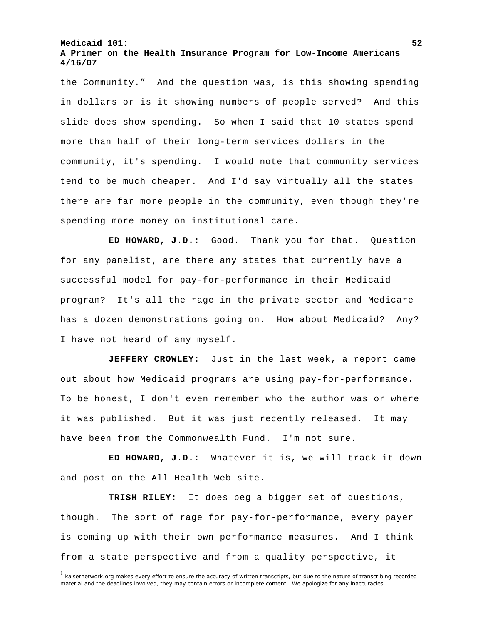# **A Primer on the Health Insurance Program for Low-Income Americans 4/16/07**

the Community." And the question was, is this showing spending in dollars or is it showing numbers of people served? And this slide does show spending. So when I said that 10 states spend more than half of their long-term services dollars in the community, it's spending. I would note that community services tend to be much cheaper. And I'd say virtually all the states there are far more people in the community, even though they're spending more money on institutional care.

**ED HOWARD, J.D.:** Good. Thank you for that. Question for any panelist, are there any states that currently have a successful model for pay-for-performance in their Medicaid program? It's all the rage in the private sector and Medicare has a dozen demonstrations going on. How about Medicaid? Any? I have not heard of any myself.

**JEFFERY CROWLEY:** Just in the last week, a report came out about how Medicaid programs are using pay-for-performance. To be honest, I don't even remember who the author was or where it was published. But it was just recently released. It may have been from the Commonwealth Fund. I'm not sure.

**ED HOWARD, J.D.:** Whatever it is, we will track it down and post on the All Health Web site.

**TRISH RILEY:** It does beg a bigger set of questions, though. The sort of rage for pay-for-performance, every payer is coming up with their own performance measures. And I think from a state perspective and from a quality perspective, it

<sup>&</sup>lt;sup>1</sup> kaisernetwork.org makes every effort to ensure the accuracy of written transcripts, but due to the nature of transcribing recorded material and the deadlines involved, they may contain errors or incomplete content. We apologize for any inaccuracies.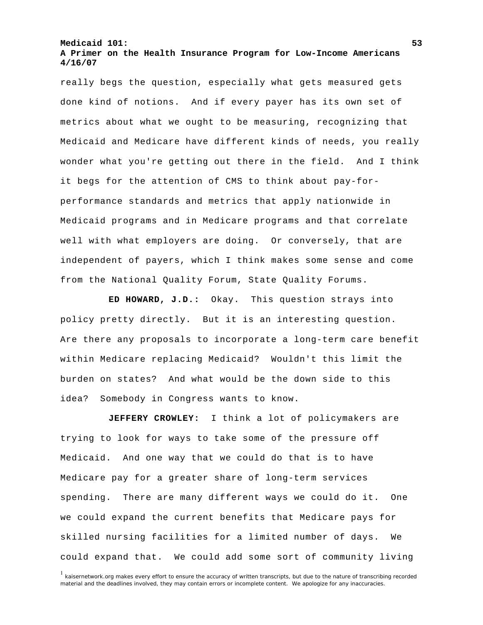## **A Primer on the Health Insurance Program for Low-Income Americans 4/16/07**

really begs the question, especially what gets measured gets done kind of notions. And if every payer has its own set of metrics about what we ought to be measuring, recognizing that Medicaid and Medicare have different kinds of needs, you really wonder what you're getting out there in the field. And I think it begs for the attention of CMS to think about pay-forperformance standards and metrics that apply nationwide in Medicaid programs and in Medicare programs and that correlate well with what employers are doing. Or conversely, that are independent of payers, which I think makes some sense and come from the National Quality Forum, State Quality Forums.

**ED HOWARD, J.D.:** Okay. This question strays into policy pretty directly. But it is an interesting question. Are there any proposals to incorporate a long-term care benefit within Medicare replacing Medicaid? Wouldn't this limit the burden on states? And what would be the down side to this idea? Somebody in Congress wants to know.

**JEFFERY CROWLEY:** I think a lot of policymakers are trying to look for ways to take some of the pressure off Medicaid. And one way that we could do that is to have Medicare pay for a greater share of long-term services spending. There are many different ways we could do it. One we could expand the current benefits that Medicare pays for skilled nursing facilities for a limited number of days. We could expand that. We could add some sort of community living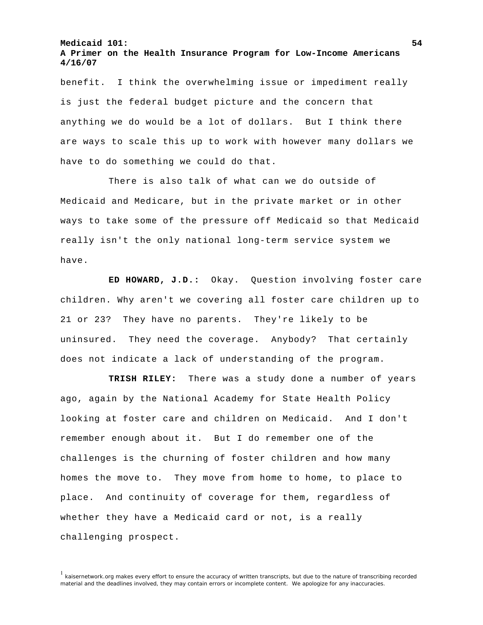benefit. I think the overwhelming issue or impediment really is just the federal budget picture and the concern that anything we do would be a lot of dollars. But I think there are ways to scale this up to work with however many dollars we have to do something we could do that.

 There is also talk of what can we do outside of Medicaid and Medicare, but in the private market or in other ways to take some of the pressure off Medicaid so that Medicaid really isn't the only national long-term service system we have.

**ED HOWARD, J.D.:** Okay. Question involving foster care children. Why aren't we covering all foster care children up to 21 or 23? They have no parents. They're likely to be uninsured. They need the coverage. Anybody? That certainly does not indicate a lack of understanding of the program.

**TRISH RILEY:** There was a study done a number of years ago, again by the National Academy for State Health Policy looking at foster care and children on Medicaid. And I don't remember enough about it. But I do remember one of the challenges is the churning of foster children and how many homes the move to. They move from home to home, to place to place. And continuity of coverage for them, regardless of whether they have a Medicaid card or not, is a really challenging prospect.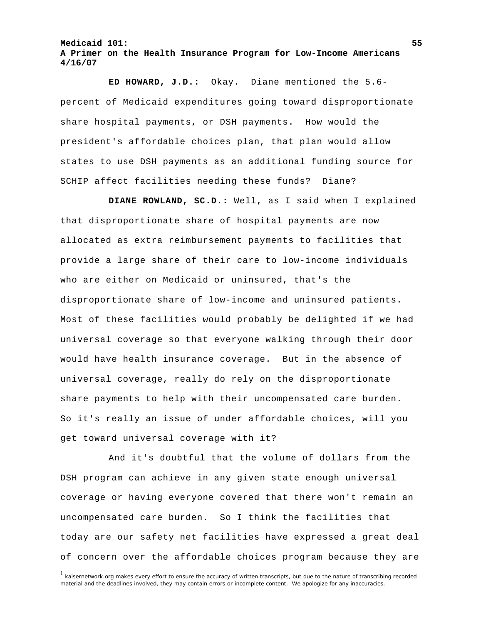**ED HOWARD, J.D.:** Okay. Diane mentioned the 5.6 percent of Medicaid expenditures going toward disproportionate share hospital payments, or DSH payments. How would the president's affordable choices plan, that plan would allow states to use DSH payments as an additional funding source for SCHIP affect facilities needing these funds? Diane?

**DIANE ROWLAND, SC.D.:** Well, as I said when I explained that disproportionate share of hospital payments are now allocated as extra reimbursement payments to facilities that provide a large share of their care to low-income individuals who are either on Medicaid or uninsured, that's the disproportionate share of low-income and uninsured patients. Most of these facilities would probably be delighted if we had universal coverage so that everyone walking through their door would have health insurance coverage. But in the absence of universal coverage, really do rely on the disproportionate share payments to help with their uncompensated care burden. So it's really an issue of under affordable choices, will you get toward universal coverage with it?

 And it's doubtful that the volume of dollars from the DSH program can achieve in any given state enough universal coverage or having everyone covered that there won't remain an uncompensated care burden. So I think the facilities that today are our safety net facilities have expressed a great deal of concern over the affordable choices program because they are

<sup>&</sup>lt;sup>1</sup> kaisernetwork.org makes every effort to ensure the accuracy of written transcripts, but due to the nature of transcribing recorded material and the deadlines involved, they may contain errors or incomplete content. We apologize for any inaccuracies.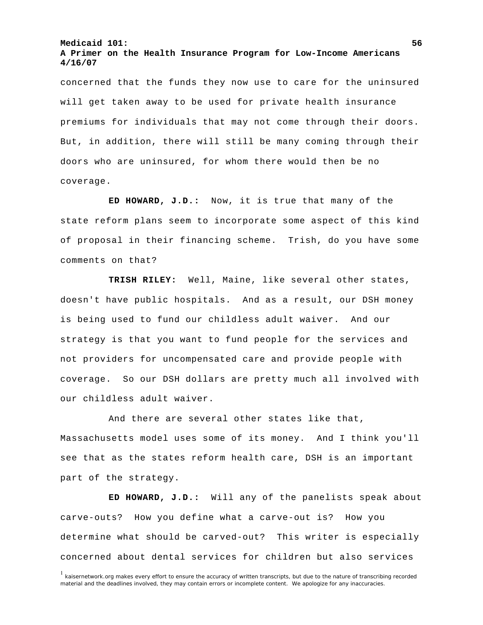concerned that the funds they now use to care for the uninsured will get taken away to be used for private health insurance premiums for individuals that may not come through their doors. But, in addition, there will still be many coming through their doors who are uninsured, for whom there would then be no coverage.

**ED HOWARD, J.D.:** Now, it is true that many of the state reform plans seem to incorporate some aspect of this kind of proposal in their financing scheme. Trish, do you have some comments on that?

**TRISH RILEY:** Well, Maine, like several other states, doesn't have public hospitals. And as a result, our DSH money is being used to fund our childless adult waiver. And our strategy is that you want to fund people for the services and not providers for uncompensated care and provide people with coverage. So our DSH dollars are pretty much all involved with our childless adult waiver.

 And there are several other states like that, Massachusetts model uses some of its money. And I think you'll see that as the states reform health care, DSH is an important part of the strategy.

**ED HOWARD, J.D.:** Will any of the panelists speak about carve-outs? How you define what a carve-out is? How you determine what should be carved-out? This writer is especially concerned about dental services for children but also services

<sup>&</sup>lt;sup>1</sup> kaisernetwork.org makes every effort to ensure the accuracy of written transcripts, but due to the nature of transcribing recorded material and the deadlines involved, they may contain errors or incomplete content. We apologize for any inaccuracies.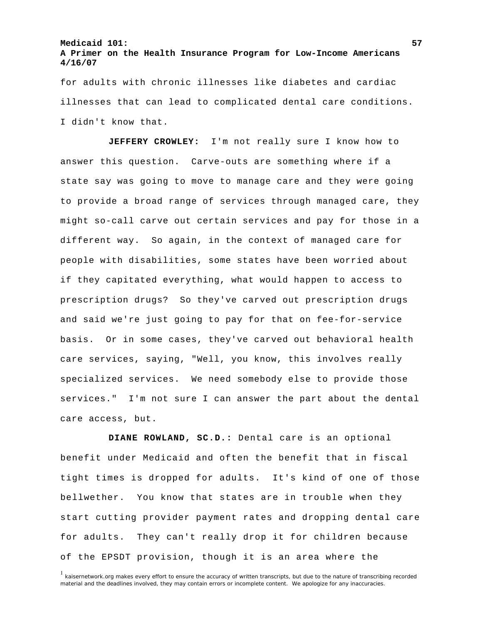for adults with chronic illnesses like diabetes and cardiac illnesses that can lead to complicated dental care conditions. I didn't know that.

**JEFFERY CROWLEY:** I'm not really sure I know how to answer this question. Carve-outs are something where if a state say was going to move to manage care and they were going to provide a broad range of services through managed care, they might so-call carve out certain services and pay for those in a different way. So again, in the context of managed care for people with disabilities, some states have been worried about if they capitated everything, what would happen to access to prescription drugs? So they've carved out prescription drugs and said we're just going to pay for that on fee-for-service basis. Or in some cases, they've carved out behavioral health care services, saying, "Well, you know, this involves really specialized services. We need somebody else to provide those services." I'm not sure I can answer the part about the dental care access, but.

**DIANE ROWLAND, SC.D.:** Dental care is an optional benefit under Medicaid and often the benefit that in fiscal tight times is dropped for adults. It's kind of one of those bellwether. You know that states are in trouble when they start cutting provider payment rates and dropping dental care for adults. They can't really drop it for children because of the EPSDT provision, though it is an area where the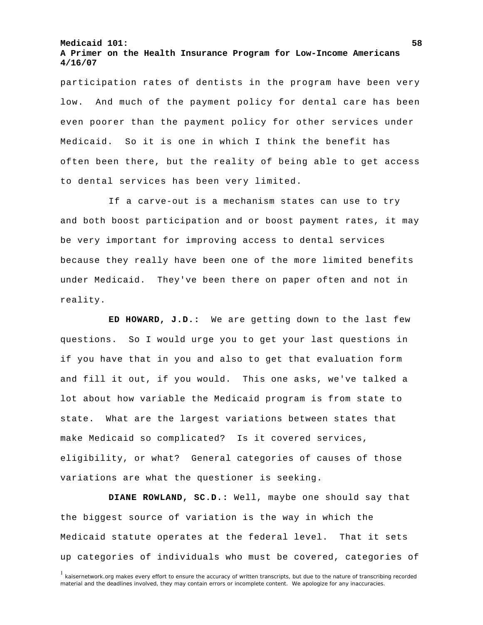participation rates of dentists in the program have been very low. And much of the payment policy for dental care has been even poorer than the payment policy for other services under Medicaid. So it is one in which I think the benefit has often been there, but the reality of being able to get access to dental services has been very limited.

 If a carve-out is a mechanism states can use to try and both boost participation and or boost payment rates, it may be very important for improving access to dental services because they really have been one of the more limited benefits under Medicaid. They've been there on paper often and not in reality.

**ED HOWARD, J.D.:** We are getting down to the last few questions. So I would urge you to get your last questions in if you have that in you and also to get that evaluation form and fill it out, if you would. This one asks, we've talked a lot about how variable the Medicaid program is from state to state. What are the largest variations between states that make Medicaid so complicated? Is it covered services, eligibility, or what? General categories of causes of those variations are what the questioner is seeking.

**DIANE ROWLAND, SC.D.:** Well, maybe one should say that the biggest source of variation is the way in which the Medicaid statute operates at the federal level. That it sets up categories of individuals who must be covered, categories of

<sup>&</sup>lt;sup>1</sup> kaisernetwork.org makes every effort to ensure the accuracy of written transcripts, but due to the nature of transcribing recorded material and the deadlines involved, they may contain errors or incomplete content. We apologize for any inaccuracies.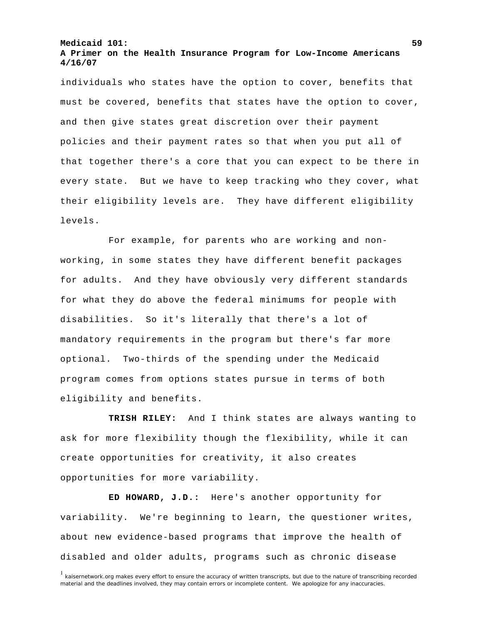# **A Primer on the Health Insurance Program for Low-Income Americans 4/16/07**

individuals who states have the option to cover, benefits that must be covered, benefits that states have the option to cover, and then give states great discretion over their payment policies and their payment rates so that when you put all of that together there's a core that you can expect to be there in every state. But we have to keep tracking who they cover, what their eligibility levels are. They have different eligibility levels.

 For example, for parents who are working and nonworking, in some states they have different benefit packages for adults. And they have obviously very different standards for what they do above the federal minimums for people with disabilities. So it's literally that there's a lot of mandatory requirements in the program but there's far more optional. Two-thirds of the spending under the Medicaid program comes from options states pursue in terms of both eligibility and benefits.

**TRISH RILEY:** And I think states are always wanting to ask for more flexibility though the flexibility, while it can create opportunities for creativity, it also creates opportunities for more variability.

**ED HOWARD, J.D.:** Here's another opportunity for variability. We're beginning to learn, the questioner writes, about new evidence-based programs that improve the health of disabled and older adults, programs such as chronic disease

<sup>&</sup>lt;sup>1</sup> kaisernetwork.org makes every effort to ensure the accuracy of written transcripts, but due to the nature of transcribing recorded material and the deadlines involved, they may contain errors or incomplete content. We apologize for any inaccuracies.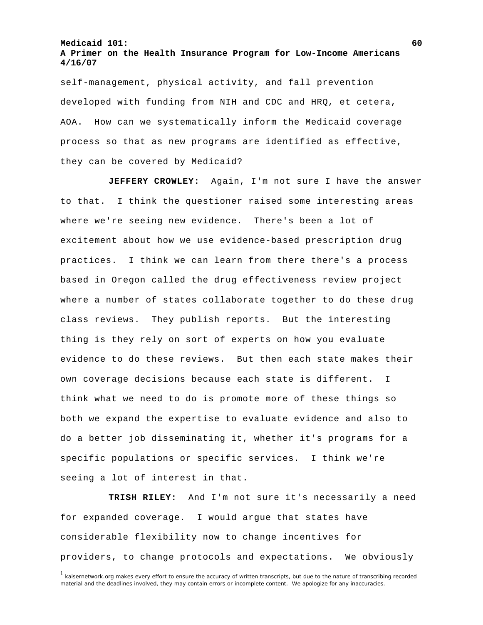self-management, physical activity, and fall prevention developed with funding from NIH and CDC and HRQ, et cetera, AOA. How can we systematically inform the Medicaid coverage process so that as new programs are identified as effective, they can be covered by Medicaid?

**JEFFERY CROWLEY:** Again, I'm not sure I have the answer to that. I think the questioner raised some interesting areas where we're seeing new evidence. There's been a lot of excitement about how we use evidence-based prescription drug practices. I think we can learn from there there's a process based in Oregon called the drug effectiveness review project where a number of states collaborate together to do these drug class reviews. They publish reports. But the interesting thing is they rely on sort of experts on how you evaluate evidence to do these reviews. But then each state makes their own coverage decisions because each state is different. I think what we need to do is promote more of these things so both we expand the expertise to evaluate evidence and also to do a better job disseminating it, whether it's programs for a specific populations or specific services. I think we're seeing a lot of interest in that.

**TRISH RILEY:** And I'm not sure it's necessarily a need for expanded coverage. I would argue that states have considerable flexibility now to change incentives for providers, to change protocols and expectations. We obviously

<sup>&</sup>lt;sup>1</sup> kaisernetwork.org makes every effort to ensure the accuracy of written transcripts, but due to the nature of transcribing recorded material and the deadlines involved, they may contain errors or incomplete content. We apologize for any inaccuracies.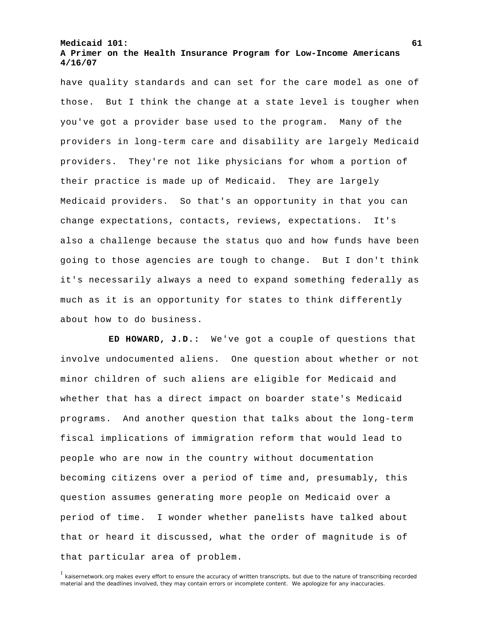# **A Primer on the Health Insurance Program for Low-Income Americans 4/16/07**

have quality standards and can set for the care model as one of those. But I think the change at a state level is tougher when you've got a provider base used to the program. Many of the providers in long-term care and disability are largely Medicaid providers. They're not like physicians for whom a portion of their practice is made up of Medicaid. They are largely Medicaid providers. So that's an opportunity in that you can change expectations, contacts, reviews, expectations. It's also a challenge because the status quo and how funds have been going to those agencies are tough to change. But I don't think it's necessarily always a need to expand something federally as much as it is an opportunity for states to think differently about how to do business.

**ED HOWARD, J.D.:** We've got a couple of questions that involve undocumented aliens. One question about whether or not minor children of such aliens are eligible for Medicaid and whether that has a direct impact on boarder state's Medicaid programs. And another question that talks about the long-term fiscal implications of immigration reform that would lead to people who are now in the country without documentation becoming citizens over a period of time and, presumably, this question assumes generating more people on Medicaid over a period of time. I wonder whether panelists have talked about that or heard it discussed, what the order of magnitude is of that particular area of problem.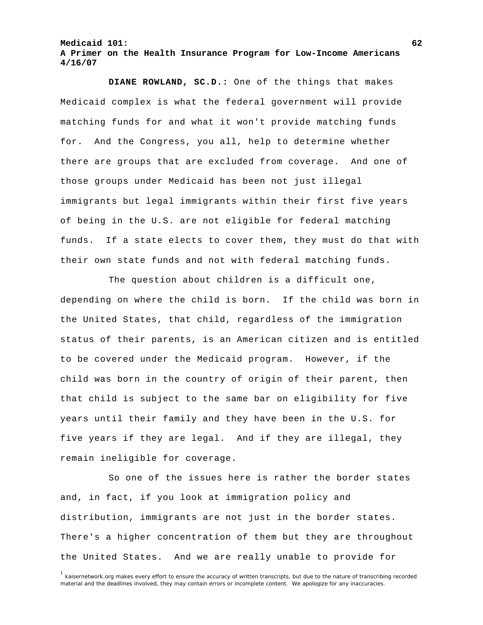**DIANE ROWLAND, SC.D.:** One of the things that makes Medicaid complex is what the federal government will provide matching funds for and what it won't provide matching funds for. And the Congress, you all, help to determine whether there are groups that are excluded from coverage. And one of those groups under Medicaid has been not just illegal immigrants but legal immigrants within their first five years of being in the U.S. are not eligible for federal matching funds. If a state elects to cover them, they must do that with their own state funds and not with federal matching funds.

 The question about children is a difficult one, depending on where the child is born. If the child was born in the United States, that child, regardless of the immigration status of their parents, is an American citizen and is entitled to be covered under the Medicaid program. However, if the child was born in the country of origin of their parent, then that child is subject to the same bar on eligibility for five years until their family and they have been in the U.S. for five years if they are legal. And if they are illegal, they remain ineligible for coverage.

 So one of the issues here is rather the border states and, in fact, if you look at immigration policy and distribution, immigrants are not just in the border states. There's a higher concentration of them but they are throughout the United States. And we are really unable to provide for

<sup>1</sup> kaisernetwork.org makes every effort to ensure the accuracy of written transcripts, but due to the nature of transcribing recorded material and the deadlines involved, they may contain errors or incomplete content. We apologize for any inaccuracies.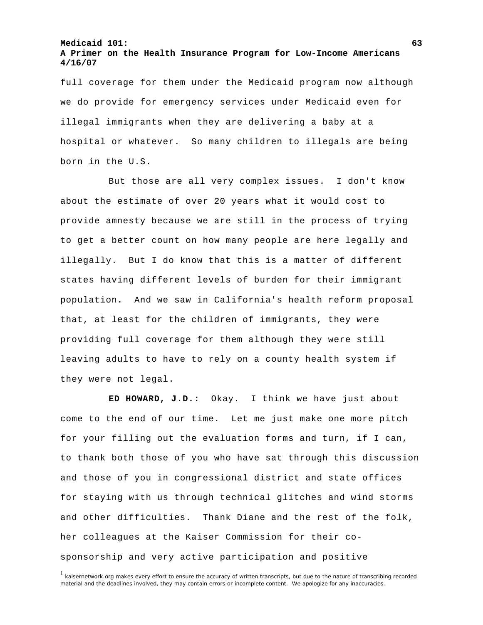full coverage for them under the Medicaid program now although we do provide for emergency services under Medicaid even for illegal immigrants when they are delivering a baby at a hospital or whatever. So many children to illegals are being born in the U.S.

 But those are all very complex issues. I don't know about the estimate of over 20 years what it would cost to provide amnesty because we are still in the process of trying to get a better count on how many people are here legally and illegally. But I do know that this is a matter of different states having different levels of burden for their immigrant population. And we saw in California's health reform proposal that, at least for the children of immigrants, they were providing full coverage for them although they were still leaving adults to have to rely on a county health system if they were not legal.

**ED HOWARD, J.D.:** Okay. I think we have just about come to the end of our time. Let me just make one more pitch for your filling out the evaluation forms and turn, if I can, to thank both those of you who have sat through this discussion and those of you in congressional district and state offices for staying with us through technical glitches and wind storms and other difficulties. Thank Diane and the rest of the folk, her colleagues at the Kaiser Commission for their cosponsorship and very active participation and positive

<sup>&</sup>lt;sup>1</sup> kaisernetwork.org makes every effort to ensure the accuracy of written transcripts, but due to the nature of transcribing recorded material and the deadlines involved, they may contain errors or incomplete content. We apologize for any inaccuracies.